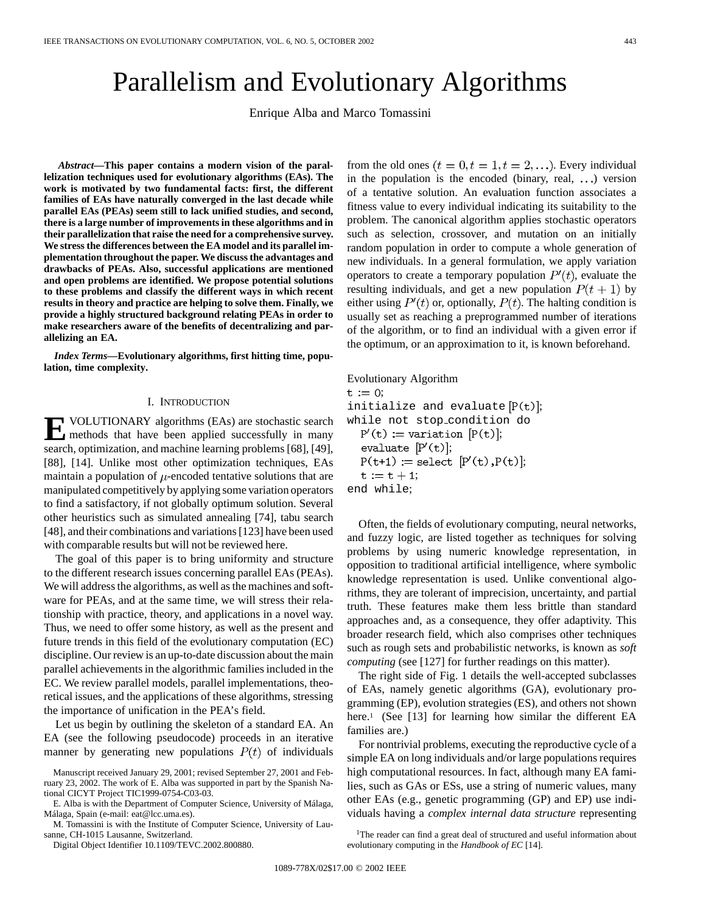# Parallelism and Evolutionary Algorithms

Enrique Alba and Marco Tomassini

*Abstract—***This paper contains a modern vision of the parallelization techniques used for evolutionary algorithms (EAs). The work is motivated by two fundamental facts: first, the different families of EAs have naturally converged in the last decade while parallel EAs (PEAs) seem still to lack unified studies, and second, there is a large number of improvements in these algorithms and in their parallelization that raise the need for a comprehensive survey. We stress the differences between the EA model and its parallel implementation throughout the paper. We discuss the advantages and drawbacks of PEAs. Also, successful applications are mentioned and open problems are identified. We propose potential solutions to these problems and classify the different ways in which recent results in theory and practice are helping to solve them. Finally, we provide a highly structured background relating PEAs in order to make researchers aware of the benefits of decentralizing and parallelizing an EA.**

*Index Terms—***Evolutionary algorithms, first hitting time, population, time complexity.**

## I. INTRODUCTION

**E** VOLUTIONARY algorithms (EAs) are stochastic search<br>methods that have been applied successfully in many<br>search activisation and marking lagning makkups [69], [40] search, optimization, and machine learning problems [68], [49], [88], [14]. Unlike most other optimization techniques, EAs maintain a population of  $\mu$ -encoded tentative solutions that are manipulated competitively by applying some variation operators to find a satisfactory, if not globally optimum solution. Several other heuristics such as simulated annealing [74], tabu search [48], and their combinations and variations [123] have been used with comparable results but will not be reviewed here.

The goal of this paper is to bring uniformity and structure to the different research issues concerning parallel EAs (PEAs). We will address the algorithms, as well as the machines and software for PEAs, and at the same time, we will stress their relationship with practice, theory, and applications in a novel way. Thus, we need to offer some history, as well as the present and future trends in this field of the evolutionary computation (EC) discipline. Our review is an up-to-date discussion about the main parallel achievements in the algorithmic families included in the EC. We review parallel models, parallel implementations, theoretical issues, and the applications of these algorithms, stressing the importance of unification in the PEA's field.

Let us begin by outlining the skeleton of a standard EA. An EA (see the following pseudocode) proceeds in an iterative manner by generating new populations  $P(t)$  of individuals

M. Tomassini is with the Institute of Computer Science, University of Lausanne, CH-1015 Lausanne, Switzerland.

Digital Object Identifier 10.1109/TEVC.2002.800880.

from the old ones  $(t = 0, t = 1, t = 2,...)$ . Every individual in the population is the encoded (binary, real,  $\ldots$ ) version of a tentative solution. An evaluation function associates a fitness value to every individual indicating its suitability to the problem. The canonical algorithm applies stochastic operators such as selection, crossover, and mutation on an initially random population in order to compute a whole generation of new individuals. In a general formulation, we apply variation operators to create a temporary population  $P'(t)$ , evaluate the resulting individuals, and get a new population  $P(t + 1)$  by either using  $P'(t)$  or, optionally,  $P(t)$ . The halting condition is usually set as reaching a preprogrammed number of iterations of the algorithm, or to find an individual with a given error if the optimum, or an approximation to it, is known beforehand.

Evolutionary Algorithm

 $t := 0;$ initialize and evaluate  $[P(t)]$ ; while not stop condition do  $P'(t) :=$  variation  $[P(t)]$ ; evaluate  $[P'(t)];$  $P(t+1) := select [P'(t), P(t)];$  $t := t + 1;$ end while;

Often, the fields of evolutionary computing, neural networks, and fuzzy logic, are listed together as techniques for solving problems by using numeric knowledge representation, in opposition to traditional artificial intelligence, where symbolic knowledge representation is used. Unlike conventional algorithms, they are tolerant of imprecision, uncertainty, and partial truth. These features make them less brittle than standard approaches and, as a consequence, they offer adaptivity. This broader research field, which also comprises other techniques such as rough sets and probabilistic networks, is known as *soft computing* (see [127] for further readings on this matter).

The right side of Fig. 1 details the well-accepted subclasses of EAs, namely genetic algorithms (GA), evolutionary programming (EP), evolution strategies (ES), and others not shown here.<sup>1</sup> (See [13] for learning how similar the different EA families are.)

For nontrivial problems, executing the reproductive cycle of a simple EA on long individuals and/or large populations requires high computational resources. In fact, although many EA families, such as GAs or ESs, use a string of numeric values, many other EAs (e.g., genetic programming (GP) and EP) use individuals having a *complex internal data structure* representing

Manuscript received January 29, 2001; revised September 27, 2001 and February 23, 2002. The work of E. Alba was supported in part by the Spanish National CICYT Project TIC1999-0754-C03-03.

E. Alba is with the Department of Computer Science, University of Málaga, Málaga, Spain (e-mail: eat@lcc.uma.es).

<sup>&</sup>lt;sup>1</sup>The reader can find a great deal of structured and useful information about evolutionary computing in the *Handbook of EC* [14].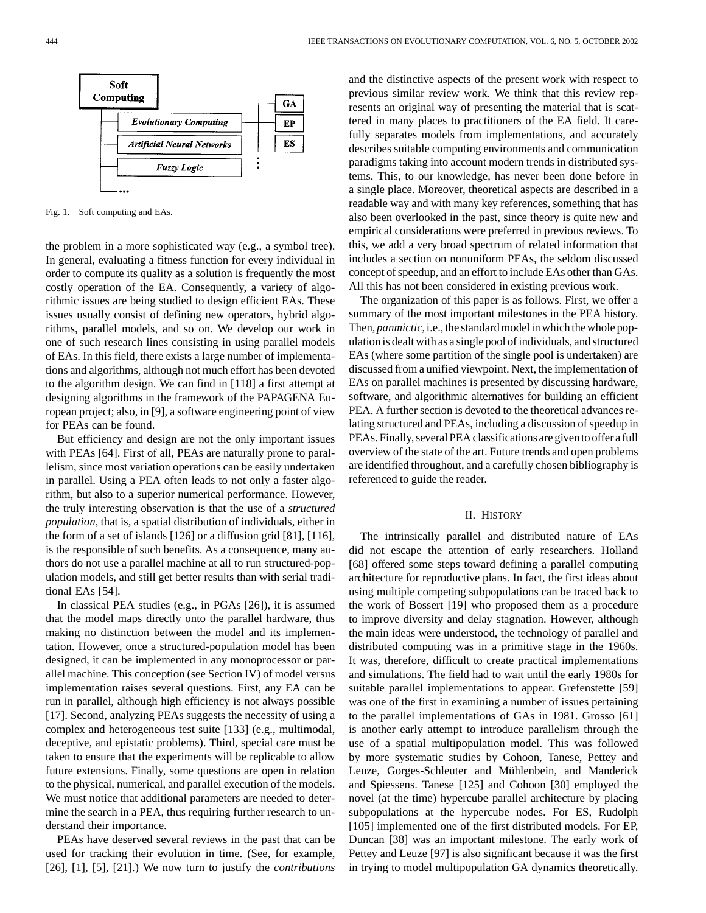

Fig. 1. Soft computing and EAs.

the problem in a more sophisticated way (e.g., a symbol tree). In general, evaluating a fitness function for every individual in order to compute its quality as a solution is frequently the most costly operation of the EA. Consequently, a variety of algorithmic issues are being studied to design efficient EAs. These issues usually consist of defining new operators, hybrid algorithms, parallel models, and so on. We develop our work in one of such research lines consisting in using parallel models of EAs. In this field, there exists a large number of implementations and algorithms, although not much effort has been devoted to the algorithm design. We can find in [118] a first attempt at designing algorithms in the framework of the PAPAGENA European project; also, in [9], a software engineering point of view for PEAs can be found.

But efficiency and design are not the only important issues with PEAs [64]. First of all, PEAs are naturally prone to parallelism, since most variation operations can be easily undertaken in parallel. Using a PEA often leads to not only a faster algorithm, but also to a superior numerical performance. However, the truly interesting observation is that the use of a *structured population*, that is, a spatial distribution of individuals, either in the form of a set of islands [126] or a diffusion grid [81], [116], is the responsible of such benefits. As a consequence, many authors do not use a parallel machine at all to run structured-population models, and still get better results than with serial traditional EAs [54].

In classical PEA studies (e.g., in PGAs [26]), it is assumed that the model maps directly onto the parallel hardware, thus making no distinction between the model and its implementation. However, once a structured-population model has been designed, it can be implemented in any monoprocessor or parallel machine. This conception (see Section IV) of model versus implementation raises several questions. First, any EA can be run in parallel, although high efficiency is not always possible [17]. Second, analyzing PEAs suggests the necessity of using a complex and heterogeneous test suite [133] (e.g., multimodal, deceptive, and epistatic problems). Third, special care must be taken to ensure that the experiments will be replicable to allow future extensions. Finally, some questions are open in relation to the physical, numerical, and parallel execution of the models. We must notice that additional parameters are needed to determine the search in a PEA, thus requiring further research to understand their importance.

PEAs have deserved several reviews in the past that can be used for tracking their evolution in time. (See, for example, [26], [1], [5], [21].) We now turn to justify the *contributions* and the distinctive aspects of the present work with respect to previous similar review work. We think that this review represents an original way of presenting the material that is scattered in many places to practitioners of the EA field. It carefully separates models from implementations, and accurately describes suitable computing environments and communication paradigms taking into account modern trends in distributed systems. This, to our knowledge, has never been done before in a single place. Moreover, theoretical aspects are described in a readable way and with many key references, something that has also been overlooked in the past, since theory is quite new and empirical considerations were preferred in previous reviews. To this, we add a very broad spectrum of related information that includes a section on nonuniform PEAs, the seldom discussed concept of speedup, and an effort to include EAs other than GAs. All this has not been considered in existing previous work.

The organization of this paper is as follows. First, we offer a summary of the most important milestones in the PEA history. Then, *panmictic*, i.e., the standard model in which the whole population is dealt with as a single pool of individuals, and structured EAs (where some partition of the single pool is undertaken) are discussed from a unified viewpoint. Next, the implementation of EAs on parallel machines is presented by discussing hardware, software, and algorithmic alternatives for building an efficient PEA. A further section is devoted to the theoretical advances relating structured and PEAs, including a discussion of speedup in PEAs. Finally, several PEA classifications are given to offer a full overview of the state of the art. Future trends and open problems are identified throughout, and a carefully chosen bibliography is referenced to guide the reader.

## II. HISTORY

The intrinsically parallel and distributed nature of EAs did not escape the attention of early researchers. Holland [68] offered some steps toward defining a parallel computing architecture for reproductive plans. In fact, the first ideas about using multiple competing subpopulations can be traced back to the work of Bossert [19] who proposed them as a procedure to improve diversity and delay stagnation. However, although the main ideas were understood, the technology of parallel and distributed computing was in a primitive stage in the 1960s. It was, therefore, difficult to create practical implementations and simulations. The field had to wait until the early 1980s for suitable parallel implementations to appear. Grefenstette [59] was one of the first in examining a number of issues pertaining to the parallel implementations of GAs in 1981. Grosso [61] is another early attempt to introduce parallelism through the use of a spatial multipopulation model. This was followed by more systematic studies by Cohoon, Tanese, Pettey and Leuze, Gorges-Schleuter and Mühlenbein, and Manderick and Spiessens. Tanese [125] and Cohoon [30] employed the novel (at the time) hypercube parallel architecture by placing subpopulations at the hypercube nodes. For ES, Rudolph [105] implemented one of the first distributed models. For EP, Duncan [38] was an important milestone. The early work of Pettey and Leuze [97] is also significant because it was the first in trying to model multipopulation GA dynamics theoretically.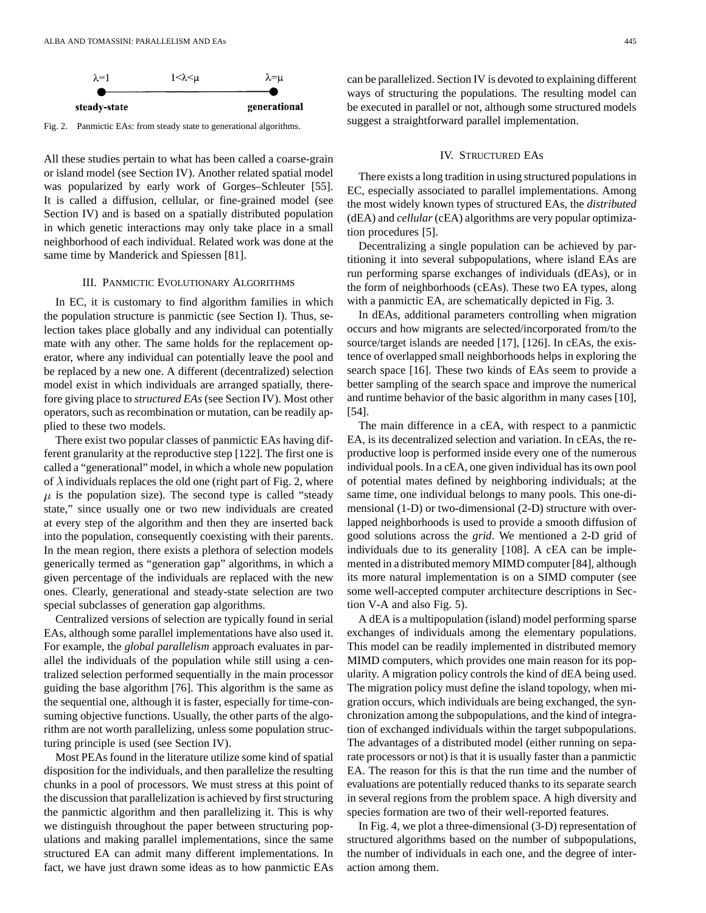

Fig. 2. Panmictic EAs: from steady state to generational algorithms.

All these studies pertain to what has been called a coarse-grain or island model (see Section IV). Another related spatial model was popularized by early work of Gorges–Schleuter [55]. It is called a diffusion, cellular, or fine-grained model (see Section IV) and is based on a spatially distributed population in which genetic interactions may only take place in a small neighborhood of each individual. Related work was done at the same time by Manderick and Spiessen [81].

#### III. PANMICTIC EVOLUTIONARY ALGORITHMS

In EC, it is customary to find algorithm families in which the population structure is panmictic (see Section I). Thus, selection takes place globally and any individual can potentially mate with any other. The same holds for the replacement operator, where any individual can potentially leave the pool and be replaced by a new one. A different (decentralized) selection model exist in which individuals are arranged spatially, therefore giving place to *structured EAs* (see Section IV). Most other operators, such as recombination or mutation, can be readily applied to these two models.

There exist two popular classes of panmictic EAs having different granularity at the reproductive step [122]. The first one is called a "generational" model, in which a whole new population of  $\lambda$  individuals replaces the old one (right part of Fig. 2, where  $\mu$  is the population size). The second type is called "steady" state," since usually one or two new individuals are created at every step of the algorithm and then they are inserted back into the population, consequently coexisting with their parents. In the mean region, there exists a plethora of selection models generically termed as "generation gap" algorithms, in which a given percentage of the individuals are replaced with the new ones. Clearly, generational and steady-state selection are two special subclasses of generation gap algorithms.

Centralized versions of selection are typically found in serial EAs, although some parallel implementations have also used it. For example, the *global parallelism* approach evaluates in parallel the individuals of the population while still using a centralized selection performed sequentially in the main processor guiding the base algorithm [76]. This algorithm is the same as the sequential one, although it is faster, especially for time-consuming objective functions. Usually, the other parts of the algorithm are not worth parallelizing, unless some population structuring principle is used (see Section IV).

Most PEAs found in the literature utilize some kind of spatial disposition for the individuals, and then parallelize the resulting chunks in a pool of processors. We must stress at this point of the discussion that parallelization is achieved by first structuring the panmictic algorithm and then parallelizing it. This is why we distinguish throughout the paper between structuring populations and making parallel implementations, since the same structured EA can admit many different implementations. In fact, we have just drawn some ideas as to how panmictic EAs can be parallelized. Section IV is devoted to explaining different ways of structuring the populations. The resulting model can be executed in parallel or not, although some structured models suggest a straightforward parallel implementation.

#### IV. STRUCTURED EAs

There exists a long tradition in using structured populations in EC, especially associated to parallel implementations. Among the most widely known types of structured EAs, the *distributed* (dEA) and *cellular* (cEA) algorithms are very popular optimization procedures [5].

Decentralizing a single population can be achieved by partitioning it into several subpopulations, where island EAs are run performing sparse exchanges of individuals (dEAs), or in the form of neighborhoods (cEAs). These two EA types, along with a panmictic EA, are schematically depicted in Fig. 3.

In dEAs, additional parameters controlling when migration occurs and how migrants are selected/incorporated from/to the source/target islands are needed [17], [126]. In cEAs, the existence of overlapped small neighborhoods helps in exploring the search space [16]. These two kinds of EAs seem to provide a better sampling of the search space and improve the numerical and runtime behavior of the basic algorithm in many cases [10], [54].

The main difference in a cEA, with respect to a panmictic EA, is its decentralized selection and variation. In cEAs, the reproductive loop is performed inside every one of the numerous individual pools. In a cEA, one given individual has its own pool of potential mates defined by neighboring individuals; at the same time, one individual belongs to many pools. This one-dimensional (1-D) or two-dimensional (2-D) structure with overlapped neighborhoods is used to provide a smooth diffusion of good solutions across the *grid*. We mentioned a 2-D grid of individuals due to its generality [108]. A cEA can be implemented in a distributed memory MIMD computer [84], although its more natural implementation is on a SIMD computer (see some well-accepted computer architecture descriptions in Section V-A and also Fig. 5).

A dEA is a multipopulation (island) model performing sparse exchanges of individuals among the elementary populations. This model can be readily implemented in distributed memory MIMD computers, which provides one main reason for its popularity. A migration policy controls the kind of dEA being used. The migration policy must define the island topology, when migration occurs, which individuals are being exchanged, the synchronization among the subpopulations, and the kind of integration of exchanged individuals within the target subpopulations. The advantages of a distributed model (either running on separate processors or not) is that it is usually faster than a panmictic EA. The reason for this is that the run time and the number of evaluations are potentially reduced thanks to its separate search in several regions from the problem space. A high diversity and species formation are two of their well-reported features.

In Fig. 4, we plot a three-dimensional (3-D) representation of structured algorithms based on the number of subpopulations, the number of individuals in each one, and the degree of interaction among them.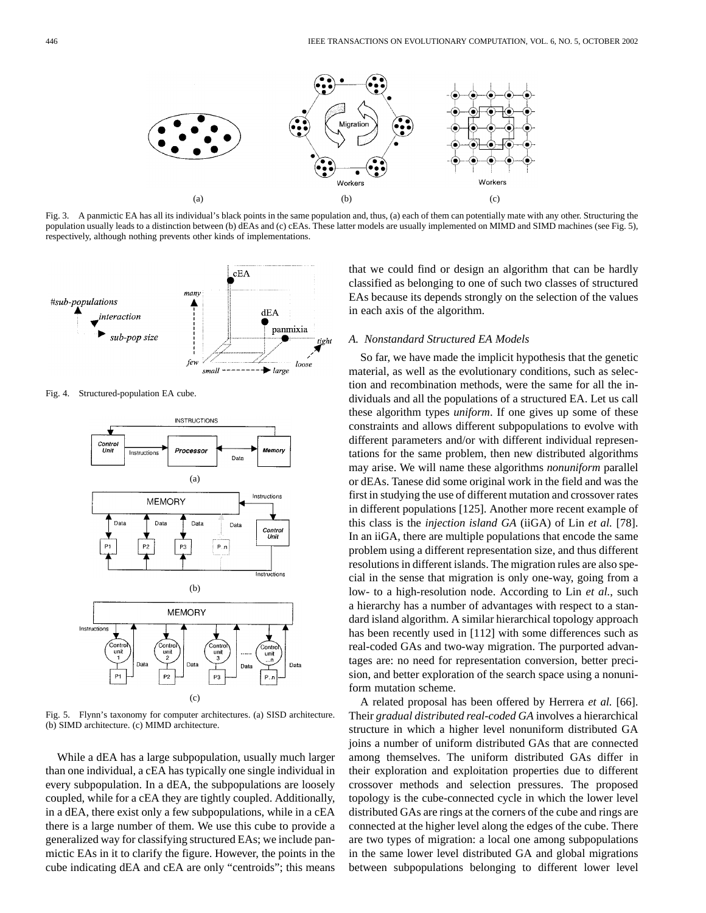

Fig. 3. A panmictic EA has all its individual's black points in the same population and, thus, (a) each of them can potentially mate with any other. Structuring the population usually leads to a distinction between (b) dEAs and (c) cEAs. These latter models are usually implemented on MIMD and SIMD machines (see Fig. 5), respectively, although nothing prevents other kinds of implementations.



Fig. 4. Structured-population EA cube.



Fig. 5. Flynn's taxonomy for computer architectures. (a) SISD architecture. (b) SIMD architecture. (c) MIMD architecture.

While a dEA has a large subpopulation, usually much larger than one individual, a cEA has typically one single individual in every subpopulation. In a dEA, the subpopulations are loosely coupled, while for a cEA they are tightly coupled. Additionally, in a dEA, there exist only a few subpopulations, while in a cEA there is a large number of them. We use this cube to provide a generalized way for classifying structured EAs; we include panmictic EAs in it to clarify the figure. However, the points in the cube indicating dEA and cEA are only "centroids"; this means that we could find or design an algorithm that can be hardly classified as belonging to one of such two classes of structured EAs because its depends strongly on the selection of the values in each axis of the algorithm.

#### *A. Nonstandard Structured EA Models*

So far, we have made the implicit hypothesis that the genetic material, as well as the evolutionary conditions, such as selection and recombination methods, were the same for all the individuals and all the populations of a structured EA. Let us call these algorithm types *uniform*. If one gives up some of these constraints and allows different subpopulations to evolve with different parameters and/or with different individual representations for the same problem, then new distributed algorithms may arise. We will name these algorithms *nonuniform* parallel or dEAs. Tanese did some original work in the field and was the first in studying the use of different mutation and crossover rates in different populations [125]. Another more recent example of this class is the *injection island GA* (iiGA) of Lin *et al.* [78]. In an iiGA, there are multiple populations that encode the same problem using a different representation size, and thus different resolutions in different islands. The migration rules are also special in the sense that migration is only one-way, going from a low- to a high-resolution node. According to Lin *et al.*, such a hierarchy has a number of advantages with respect to a standard island algorithm. A similar hierarchical topology approach has been recently used in [112] with some differences such as real-coded GAs and two-way migration. The purported advantages are: no need for representation conversion, better precision, and better exploration of the search space using a nonuniform mutation scheme.

A related proposal has been offered by Herrera *et al.* [66]. Their *gradual distributed real-coded GA* involves a hierarchical structure in which a higher level nonuniform distributed GA joins a number of uniform distributed GAs that are connected among themselves. The uniform distributed GAs differ in their exploration and exploitation properties due to different crossover methods and selection pressures. The proposed topology is the cube-connected cycle in which the lower level distributed GAs are rings at the corners of the cube and rings are connected at the higher level along the edges of the cube. There are two types of migration: a local one among subpopulations in the same lower level distributed GA and global migrations between subpopulations belonging to different lower level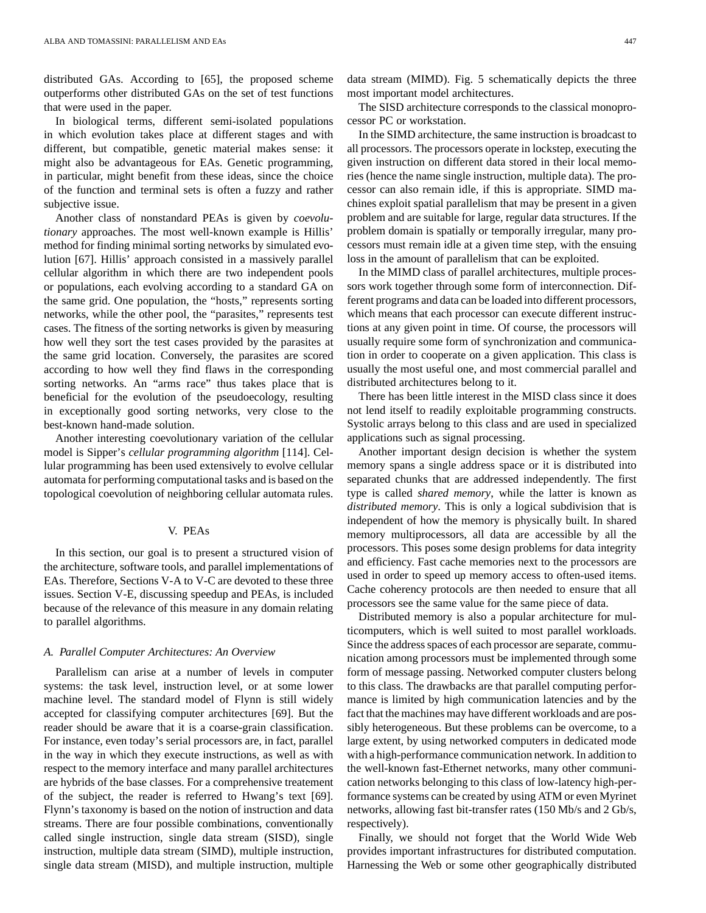distributed GAs. According to [65], the proposed scheme outperforms other distributed GAs on the set of test functions that were used in the paper.

In biological terms, different semi-isolated populations in which evolution takes place at different stages and with different, but compatible, genetic material makes sense: it might also be advantageous for EAs. Genetic programming, in particular, might benefit from these ideas, since the choice of the function and terminal sets is often a fuzzy and rather subjective issue.

Another class of nonstandard PEAs is given by *coevolutionary* approaches. The most well-known example is Hillis' method for finding minimal sorting networks by simulated evolution [67]. Hillis' approach consisted in a massively parallel cellular algorithm in which there are two independent pools or populations, each evolving according to a standard GA on the same grid. One population, the "hosts," represents sorting networks, while the other pool, the "parasites," represents test cases. The fitness of the sorting networks is given by measuring how well they sort the test cases provided by the parasites at the same grid location. Conversely, the parasites are scored according to how well they find flaws in the corresponding sorting networks. An "arms race" thus takes place that is beneficial for the evolution of the pseudoecology, resulting in exceptionally good sorting networks, very close to the best-known hand-made solution.

Another interesting coevolutionary variation of the cellular model is Sipper's *cellular programming algorithm* [114]. Cellular programming has been used extensively to evolve cellular automata for performing computational tasks and is based on the topological coevolution of neighboring cellular automata rules.

#### V. PEAs

In this section, our goal is to present a structured vision of the architecture, software tools, and parallel implementations of EAs. Therefore, Sections V-A to V-C are devoted to these three issues. Section V-E, discussing speedup and PEAs, is included because of the relevance of this measure in any domain relating to parallel algorithms.

#### *A. Parallel Computer Architectures: An Overview*

Parallelism can arise at a number of levels in computer systems: the task level, instruction level, or at some lower machine level. The standard model of Flynn is still widely accepted for classifying computer architectures [69]. But the reader should be aware that it is a coarse-grain classification. For instance, even today's serial processors are, in fact, parallel in the way in which they execute instructions, as well as with respect to the memory interface and many parallel architectures are hybrids of the base classes. For a comprehensive treatement of the subject, the reader is referred to Hwang's text [69]. Flynn's taxonomy is based on the notion of instruction and data streams. There are four possible combinations, conventionally called single instruction, single data stream (SISD), single instruction, multiple data stream (SIMD), multiple instruction, single data stream (MISD), and multiple instruction, multiple data stream (MIMD). Fig. 5 schematically depicts the three most important model architectures.

The SISD architecture corresponds to the classical monoprocessor PC or workstation.

In the SIMD architecture, the same instruction is broadcast to all processors. The processors operate in lockstep, executing the given instruction on different data stored in their local memories (hence the name single instruction, multiple data). The processor can also remain idle, if this is appropriate. SIMD machines exploit spatial parallelism that may be present in a given problem and are suitable for large, regular data structures. If the problem domain is spatially or temporally irregular, many processors must remain idle at a given time step, with the ensuing loss in the amount of parallelism that can be exploited.

In the MIMD class of parallel architectures, multiple processors work together through some form of interconnection. Different programs and data can be loaded into different processors, which means that each processor can execute different instructions at any given point in time. Of course, the processors will usually require some form of synchronization and communication in order to cooperate on a given application. This class is usually the most useful one, and most commercial parallel and distributed architectures belong to it.

There has been little interest in the MISD class since it does not lend itself to readily exploitable programming constructs. Systolic arrays belong to this class and are used in specialized applications such as signal processing.

Another important design decision is whether the system memory spans a single address space or it is distributed into separated chunks that are addressed independently. The first type is called *shared memory*, while the latter is known as *distributed memory*. This is only a logical subdivision that is independent of how the memory is physically built. In shared memory multiprocessors, all data are accessible by all the processors. This poses some design problems for data integrity and efficiency. Fast cache memories next to the processors are used in order to speed up memory access to often-used items. Cache coherency protocols are then needed to ensure that all processors see the same value for the same piece of data.

Distributed memory is also a popular architecture for multicomputers, which is well suited to most parallel workloads. Since the address spaces of each processor are separate, communication among processors must be implemented through some form of message passing. Networked computer clusters belong to this class. The drawbacks are that parallel computing performance is limited by high communication latencies and by the fact that the machines may have different workloads and are possibly heterogeneous. But these problems can be overcome, to a large extent, by using networked computers in dedicated mode with a high-performance communication network. In addition to the well-known fast-Ethernet networks, many other communication networks belonging to this class of low-latency high-performance systems can be created by using ATM or even Myrinet networks, allowing fast bit-transfer rates (150 Mb/s and 2 Gb/s, respectively).

Finally, we should not forget that the World Wide Web provides important infrastructures for distributed computation. Harnessing the Web or some other geographically distributed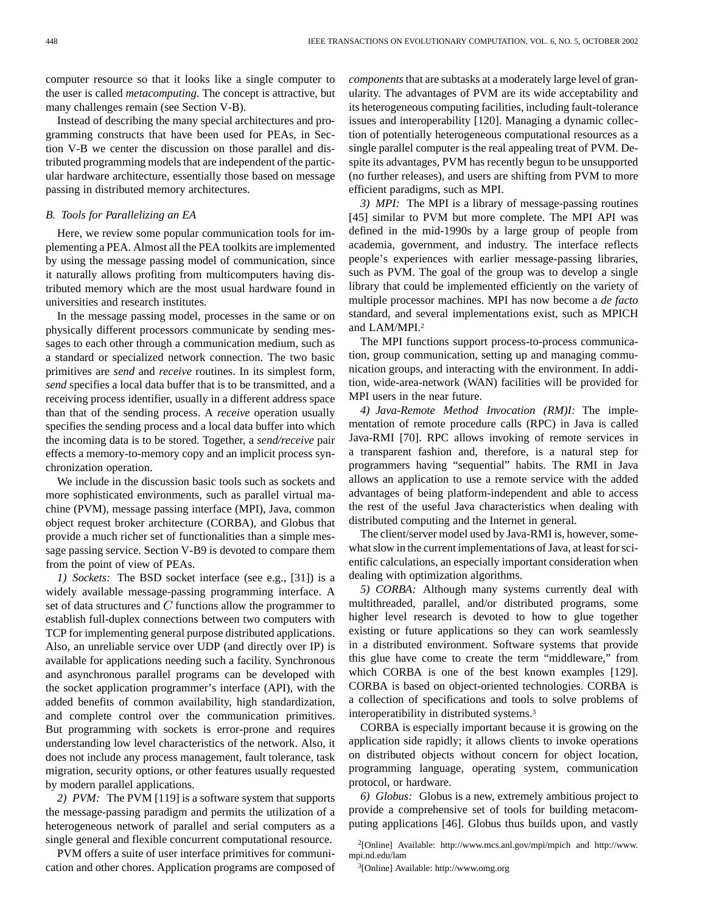computer resource so that it looks like a single computer to the user is called *metacomputing*. The concept is attractive, but many challenges remain (see Section V-B).

Instead of describing the many special architectures and programming constructs that have been used for PEAs, in Section V-B we center the discussion on those parallel and distributed programming models that are independent of the particular hardware architecture, essentially those based on message passing in distributed memory architectures.

#### *B. Tools for Parallelizing an EA*

Here, we review some popular communication tools for implementing a PEA. Almost all the PEA toolkits are implemented by using the message passing model of communication, since it naturally allows profiting from multicomputers having distributed memory which are the most usual hardware found in universities and research institutes.

In the message passing model, processes in the same or on physically different processors communicate by sending messages to each other through a communication medium, such as a standard or specialized network connection. The two basic primitives are *send* and *receive* routines. In its simplest form, *send* specifies a local data buffer that is to be transmitted, and a receiving process identifier, usually in a different address space than that of the sending process. A *receive* operation usually specifies the sending process and a local data buffer into which the incoming data is to be stored. Together, a *send/receive* pair effects a memory-to-memory copy and an implicit process synchronization operation.

We include in the discussion basic tools such as sockets and more sophisticated environments, such as parallel virtual machine (PVM), message passing interface (MPI), Java, common object request broker architecture (CORBA), and Globus that provide a much richer set of functionalities than a simple message passing service. Section V-B9 is devoted to compare them from the point of view of PEAs.

*1) Sockets:* The BSD socket interface (see e.g., [31]) is a widely available message-passing programming interface. A set of data structures and  $C$  functions allow the programmer to establish full-duplex connections between two computers with TCP for implementing general purpose distributed applications. Also, an unreliable service over UDP (and directly over IP) is available for applications needing such a facility. Synchronous and asynchronous parallel programs can be developed with the socket application programmer's interface (API), with the added benefits of common availability, high standardization, and complete control over the communication primitives. But programming with sockets is error-prone and requires understanding low level characteristics of the network. Also, it does not include any process management, fault tolerance, task migration, security options, or other features usually requested by modern parallel applications.

*2) PVM:* The PVM [119] is a software system that supports the message-passing paradigm and permits the utilization of a heterogeneous network of parallel and serial computers as a single general and flexible concurrent computational resource.

PVM offers a suite of user interface primitives for communication and other chores. Application programs are composed of *components*that are subtasks at a moderately large level of granularity. The advantages of PVM are its wide acceptability and its heterogeneous computing facilities, including fault-tolerance issues and interoperability [120]. Managing a dynamic collection of potentially heterogeneous computational resources as a single parallel computer is the real appealing treat of PVM. Despite its advantages, PVM has recently begun to be unsupported (no further releases), and users are shifting from PVM to more efficient paradigms, such as MPI.

*3) MPI:* The MPI is a library of message-passing routines [45] similar to PVM but more complete. The MPI API was defined in the mid-1990s by a large group of people from academia, government, and industry. The interface reflects people's experiences with earlier message-passing libraries, such as PVM. The goal of the group was to develop a single library that could be implemented efficiently on the variety of multiple processor machines. MPI has now become a *de facto* standard, and several implementations exist, such as MPICH and LAM/MPI.2

The MPI functions support process-to-process communication, group communication, setting up and managing communication groups, and interacting with the environment. In addition, wide-area-network (WAN) facilities will be provided for MPI users in the near future.

*4) Java-Remote Method Invocation (RM)I:* The implementation of remote procedure calls (RPC) in Java is called Java-RMI [70]. RPC allows invoking of remote services in a transparent fashion and, therefore, is a natural step for programmers having "sequential" habits. The RMI in Java allows an application to use a remote service with the added advantages of being platform-independent and able to access the rest of the useful Java characteristics when dealing with distributed computing and the Internet in general.

The client/server model used by Java-RMI is, however, somewhat slow in the current implementations of Java, at least for scientific calculations, an especially important consideration when dealing with optimization algorithms.

*5) CORBA:* Although many systems currently deal with multithreaded, parallel, and/or distributed programs, some higher level research is devoted to how to glue together existing or future applications so they can work seamlessly in a distributed environment. Software systems that provide this glue have come to create the term "middleware," from which CORBA is one of the best known examples [129]. CORBA is based on object-oriented technologies. CORBA is a collection of specifications and tools to solve problems of interoperatibility in distributed systems.3

CORBA is especially important because it is growing on the application side rapidly; it allows clients to invoke operations on distributed objects without concern for object location, programming language, operating system, communication protocol, or hardware.

*6) Globus:* Globus is a new, extremely ambitious project to provide a comprehensive set of tools for building metacomputing applications [46]. Globus thus builds upon, and vastly

3[Online] Available: http://www.omg.org

<sup>2[</sup>Online] Available: http://www.mcs.anl.gov/mpi/mpich and http://www. mpi.nd.edu/lam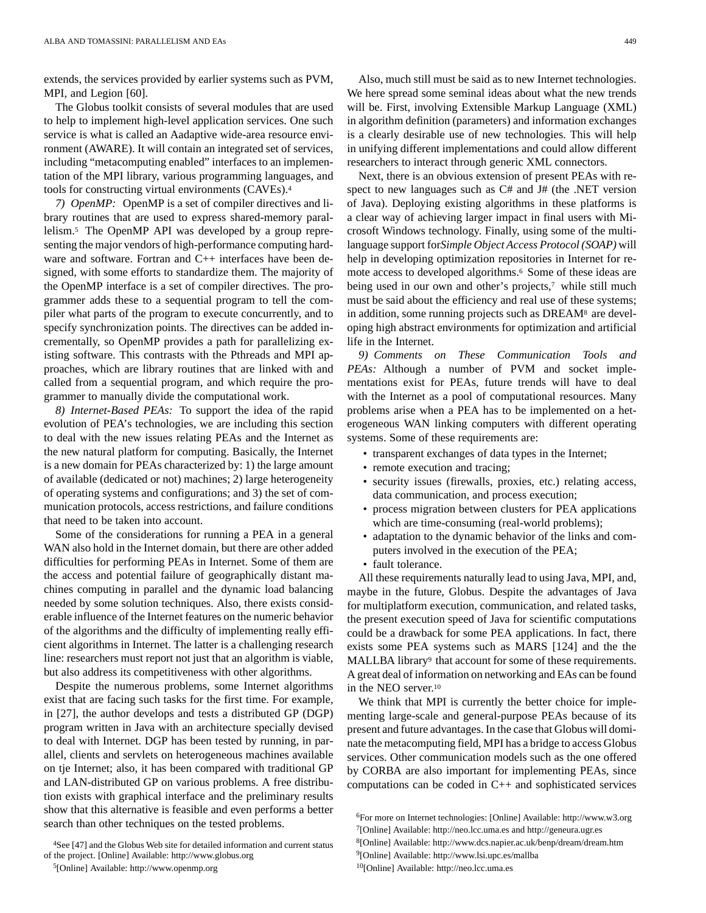extends, the services provided by earlier systems such as PVM, MPI, and Legion [60].

The Globus toolkit consists of several modules that are used to help to implement high-level application services. One such service is what is called an Aadaptive wide-area resource environment (AWARE). It will contain an integrated set of services, including "metacomputing enabled" interfaces to an implementation of the MPI library, various programming languages, and tools for constructing virtual environments (CAVEs).4

*7) OpenMP:* OpenMP is a set of compiler directives and library routines that are used to express shared-memory parallelism.5 The OpenMP API was developed by a group representing the major vendors of high-performance computing hardware and software. Fortran and C++ interfaces have been designed, with some efforts to standardize them. The majority of the OpenMP interface is a set of compiler directives. The programmer adds these to a sequential program to tell the compiler what parts of the program to execute concurrently, and to specify synchronization points. The directives can be added incrementally, so OpenMP provides a path for parallelizing existing software. This contrasts with the Pthreads and MPI approaches, which are library routines that are linked with and called from a sequential program, and which require the programmer to manually divide the computational work.

*8) Internet-Based PEAs:* To support the idea of the rapid evolution of PEA's technologies, we are including this section to deal with the new issues relating PEAs and the Internet as the new natural platform for computing. Basically, the Internet is a new domain for PEAs characterized by: 1) the large amount of available (dedicated or not) machines; 2) large heterogeneity of operating systems and configurations; and 3) the set of communication protocols, access restrictions, and failure conditions that need to be taken into account.

Some of the considerations for running a PEA in a general WAN also hold in the Internet domain, but there are other added difficulties for performing PEAs in Internet. Some of them are the access and potential failure of geographically distant machines computing in parallel and the dynamic load balancing needed by some solution techniques. Also, there exists considerable influence of the Internet features on the numeric behavior of the algorithms and the difficulty of implementing really efficient algorithms in Internet. The latter is a challenging research line: researchers must report not just that an algorithm is viable, but also address its competitiveness with other algorithms.

Despite the numerous problems, some Internet algorithms exist that are facing such tasks for the first time. For example, in [27], the author develops and tests a distributed GP (DGP) program written in Java with an architecture specially devised to deal with Internet. DGP has been tested by running, in parallel, clients and servlets on heterogeneous machines available on tje Internet; also, it has been compared with traditional GP and LAN-distributed GP on various problems. A free distribution exists with graphical interface and the preliminary results show that this alternative is feasible and even performs a better search than other techniques on the tested problems.

Also, much still must be said as to new Internet technologies. We here spread some seminal ideas about what the new trends will be. First, involving Extensible Markup Language (XML) in algorithm definition (parameters) and information exchanges is a clearly desirable use of new technologies. This will help in unifying different implementations and could allow different researchers to interact through generic XML connectors.

Next, there is an obvious extension of present PEAs with respect to new languages such as C# and J# (the .NET version of Java). Deploying existing algorithms in these platforms is a clear way of achieving larger impact in final users with Microsoft Windows technology. Finally, using some of the multilanguage support for*Simple Object Access Protocol (SOAP)* will help in developing optimization repositories in Internet for remote access to developed algorithms.6 Some of these ideas are being used in our own and other's projects,<sup>7</sup> while still much must be said about the efficiency and real use of these systems; in addition, some running projects such as DREAM<sup>8</sup> are developing high abstract environments for optimization and artificial life in the Internet.

*9) Comments on These Communication Tools and PEAs:* Although a number of PVM and socket implementations exist for PEAs, future trends will have to deal with the Internet as a pool of computational resources. Many problems arise when a PEA has to be implemented on a heterogeneous WAN linking computers with different operating systems. Some of these requirements are:

- transparent exchanges of data types in the Internet;
- remote execution and tracing;
- security issues (firewalls, proxies, etc.) relating access, data communication, and process execution;
- process migration between clusters for PEA applications which are time-consuming (real-world problems);
- adaptation to the dynamic behavior of the links and computers involved in the execution of the PEA;
- fault tolerance.

All these requirements naturally lead to using Java, MPI, and, maybe in the future, Globus. Despite the advantages of Java for multiplatform execution, communication, and related tasks, the present execution speed of Java for scientific computations could be a drawback for some PEA applications. In fact, there exists some PEA systems such as MARS [124] and the the MALLBA library<sup>9</sup> that account for some of these requirements. A great deal of information on networking and EAs can be found in the NEO server.10

We think that MPI is currently the better choice for implementing large-scale and general-purpose PEAs because of its present and future advantages. In the case that Globus will dominate the metacomputing field, MPI has a bridge to access Globus services. Other communication models such as the one offered by CORBA are also important for implementing PEAs, since computations can be coded in C++ and sophisticated services

<sup>4</sup>See [47] and the Globus Web site for detailed information and current status of the project. [Online] Available: http://www.globus.org

<sup>5[</sup>Online] Available: http://www.openmp.org

<sup>6</sup>For more on Internet technologies: [Online] Available: http://www.w3.org

<sup>7[</sup>Online] Available: http://neo.lcc.uma.es and http://geneura.ugr.es

<sup>8[</sup>Online] Available: http://www.dcs.napier.ac.uk/benp/dream/dream.htm

<sup>9[</sup>Online] Available: http://www.lsi.upc.es/mallba

<sup>10[</sup>Online] Available: http://neo.lcc.uma.es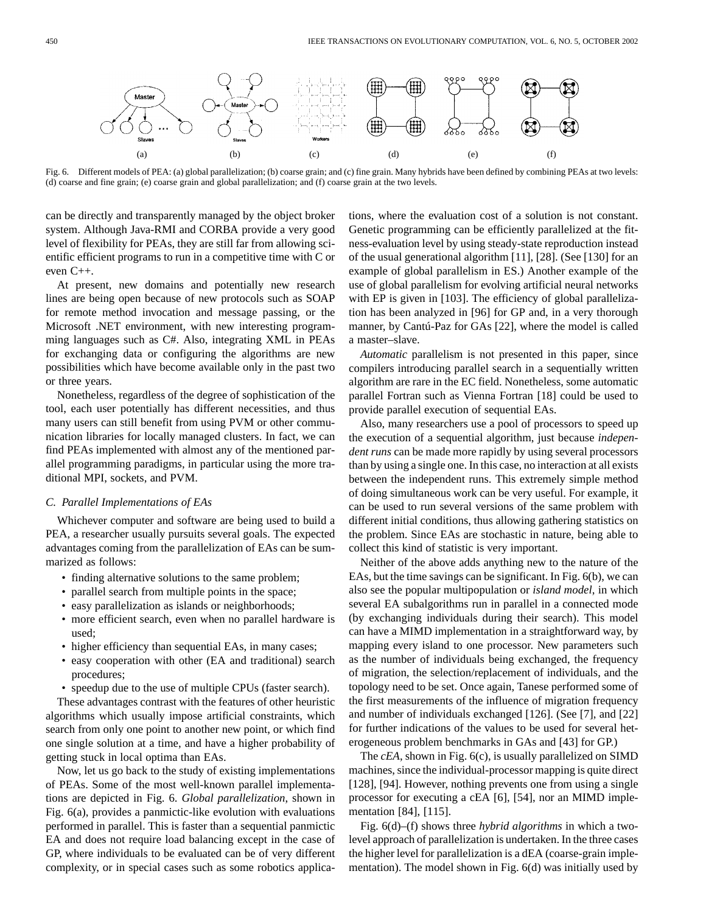

Fig. 6. Different models of PEA: (a) global parallelization; (b) coarse grain; and (c) fine grain. Many hybrids have been defined by combining PEAs at two levels: (d) coarse and fine grain; (e) coarse grain and global parallelization; and (f) coarse grain at the two levels.

can be directly and transparently managed by the object broker system. Although Java-RMI and CORBA provide a very good level of flexibility for PEAs, they are still far from allowing scientific efficient programs to run in a competitive time with C or even C++.

At present, new domains and potentially new research lines are being open because of new protocols such as SOAP for remote method invocation and message passing, or the Microsoft .NET environment, with new interesting programming languages such as C#. Also, integrating XML in PEAs for exchanging data or configuring the algorithms are new possibilities which have become available only in the past two or three years.

Nonetheless, regardless of the degree of sophistication of the tool, each user potentially has different necessities, and thus many users can still benefit from using PVM or other communication libraries for locally managed clusters. In fact, we can find PEAs implemented with almost any of the mentioned parallel programming paradigms, in particular using the more traditional MPI, sockets, and PVM.

## *C. Parallel Implementations of EAs*

Whichever computer and software are being used to build a PEA, a researcher usually pursuits several goals. The expected advantages coming from the parallelization of EAs can be summarized as follows:

- finding alternative solutions to the same problem;
- parallel search from multiple points in the space;
- easy parallelization as islands or neighborhoods;
- more efficient search, even when no parallel hardware is used;
- higher efficiency than sequential EAs, in many cases;
- easy cooperation with other (EA and traditional) search procedures;
- speedup due to the use of multiple CPUs (faster search).

These advantages contrast with the features of other heuristic algorithms which usually impose artificial constraints, which search from only one point to another new point, or which find one single solution at a time, and have a higher probability of getting stuck in local optima than EAs.

Now, let us go back to the study of existing implementations of PEAs. Some of the most well-known parallel implementations are depicted in Fig. 6. *Global parallelization*, shown in Fig. 6(a), provides a panmictic-like evolution with evaluations performed in parallel. This is faster than a sequential panmictic EA and does not require load balancing except in the case of GP, where individuals to be evaluated can be of very different complexity, or in special cases such as some robotics applications, where the evaluation cost of a solution is not constant. Genetic programming can be efficiently parallelized at the fitness-evaluation level by using steady-state reproduction instead of the usual generational algorithm [11], [28]. (See [130] for an example of global parallelism in ES.) Another example of the use of global parallelism for evolving artificial neural networks with EP is given in [103]. The efficiency of global parallelization has been analyzed in [96] for GP and, in a very thorough manner, by Cantú-Paz for GAs [22], where the model is called a master–slave.

*Automatic* parallelism is not presented in this paper, since compilers introducing parallel search in a sequentially written algorithm are rare in the EC field. Nonetheless, some automatic parallel Fortran such as Vienna Fortran [18] could be used to provide parallel execution of sequential EAs.

Also, many researchers use a pool of processors to speed up the execution of a sequential algorithm, just because *independent runs* can be made more rapidly by using several processors than by using a single one. In this case, no interaction at all exists between the independent runs. This extremely simple method of doing simultaneous work can be very useful. For example, it can be used to run several versions of the same problem with different initial conditions, thus allowing gathering statistics on the problem. Since EAs are stochastic in nature, being able to collect this kind of statistic is very important.

Neither of the above adds anything new to the nature of the EAs, but the time savings can be significant. In Fig. 6(b), we can also see the popular multipopulation or *island model*, in which several EA subalgorithms run in parallel in a connected mode (by exchanging individuals during their search). This model can have a MIMD implementation in a straightforward way, by mapping every island to one processor. New parameters such as the number of individuals being exchanged, the frequency of migration, the selection/replacement of individuals, and the topology need to be set. Once again, Tanese performed some of the first measurements of the influence of migration frequency and number of individuals exchanged [126]. (See [7], and [22] for further indications of the values to be used for several heterogeneous problem benchmarks in GAs and [43] for GP.)

The *cEA*, shown in Fig. 6(c), is usually parallelized on SIMD machines, since the individual-processor mapping is quite direct [128], [94]. However, nothing prevents one from using a single processor for executing a cEA [6], [54], nor an MIMD implementation [84], [115].

Fig. 6(d)–(f) shows three *hybrid algorithms* in which a twolevel approach of parallelization is undertaken. In the three cases the higher level for parallelization is a dEA (coarse-grain implementation). The model shown in Fig. 6(d) was initially used by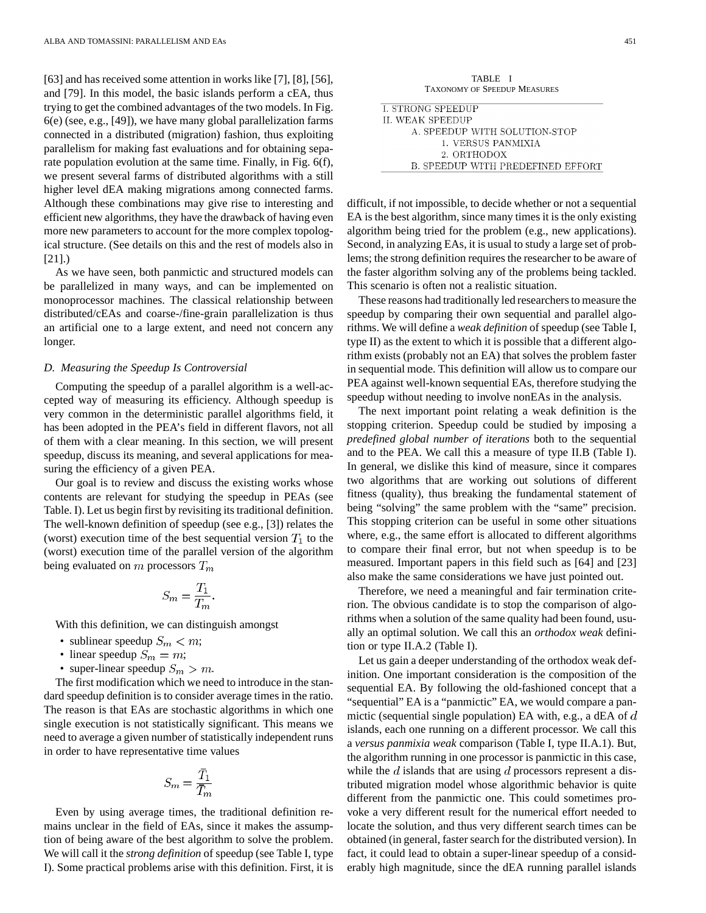[63] and has received some attention in works like [7], [8], [56], and [79]. In this model, the basic islands perform a cEA, thus trying to get the combined advantages of the two models. In Fig. 6(e) (see, e.g., [49]), we have many global parallelization farms connected in a distributed (migration) fashion, thus exploiting parallelism for making fast evaluations and for obtaining separate population evolution at the same time. Finally, in Fig. 6(f), we present several farms of distributed algorithms with a still higher level dEA making migrations among connected farms. Although these combinations may give rise to interesting and efficient new algorithms, they have the drawback of having even more new parameters to account for the more complex topological structure. (See details on this and the rest of models also in [21].)

As we have seen, both panmictic and structured models can be parallelized in many ways, and can be implemented on monoprocessor machines. The classical relationship between distributed/cEAs and coarse-/fine-grain parallelization is thus an artificial one to a large extent, and need not concern any longer.

#### *D. Measuring the Speedup Is Controversial*

Computing the speedup of a parallel algorithm is a well-accepted way of measuring its efficiency. Although speedup is very common in the deterministic parallel algorithms field, it has been adopted in the PEA's field in different flavors, not all of them with a clear meaning. In this section, we will present speedup, discuss its meaning, and several applications for measuring the efficiency of a given PEA.

Our goal is to review and discuss the existing works whose contents are relevant for studying the speedup in PEAs (see Table. I). Let us begin first by revisiting its traditional definition. The well-known definition of speedup (see e.g., [3]) relates the (worst) execution time of the best sequential version  $T_1$  to the (worst) execution time of the parallel version of the algorithm being evaluated on  $m$  processors  $T_m$ 

$$
S_m = \frac{T_1}{T_m}
$$

With this definition, we can distinguish amongst

- sublinear speedup  $S_m < m$ ;
- linear speedup  $S_m = m$ ;
- super-linear speedup  $S_m > m$ .

The first modification which we need to introduce in the standard speedup definition is to consider average times in the ratio. The reason is that EAs are stochastic algorithms in which one single execution is not statistically significant. This means we need to average a given number of statistically independent runs in order to have representative time values

$$
S_m = \frac{\bar{T}_1}{\bar{T}_m}
$$

Even by using average times, the traditional definition remains unclear in the field of EAs, since it makes the assumption of being aware of the best algorithm to solve the problem. We will call it the *strong definition* of speedup (see Table I, type I). Some practical problems arise with this definition. First, it is

TABLE I TAXONOMY OF SPEEDUP MEASURES

| L STRONG SPEEDUP                         |
|------------------------------------------|
| IL WEAK SPEEDUP                          |
| A. SPEEDUP WITH SOLUTION-STOP            |
| 1. VERSUS PANMIXIA                       |
| 2. ORTHODOX                              |
| <b>B. SPEEDUP WITH PREDEFINED EFFORT</b> |
|                                          |

difficult, if not impossible, to decide whether or not a sequential EA is the best algorithm, since many times it is the only existing algorithm being tried for the problem (e.g., new applications). Second, in analyzing EAs, it is usual to study a large set of problems; the strong definition requires the researcher to be aware of the faster algorithm solving any of the problems being tackled. This scenario is often not a realistic situation.

These reasons had traditionally led researchers to measure the speedup by comparing their own sequential and parallel algorithms. We will define a *weak definition* of speedup (see Table I, type II) as the extent to which it is possible that a different algorithm exists (probably not an EA) that solves the problem faster in sequential mode. This definition will allow us to compare our PEA against well-known sequential EAs, therefore studying the speedup without needing to involve nonEAs in the analysis.

The next important point relating a weak definition is the stopping criterion. Speedup could be studied by imposing a *predefined global number of iterations* both to the sequential and to the PEA. We call this a measure of type II.B (Table I). In general, we dislike this kind of measure, since it compares two algorithms that are working out solutions of different fitness (quality), thus breaking the fundamental statement of being "solving" the same problem with the "same" precision. This stopping criterion can be useful in some other situations where, e.g., the same effort is allocated to different algorithms to compare their final error, but not when speedup is to be measured. Important papers in this field such as [64] and [23] also make the same considerations we have just pointed out.

Therefore, we need a meaningful and fair termination criterion. The obvious candidate is to stop the comparison of algorithms when a solution of the same quality had been found, usually an optimal solution. We call this an *orthodox weak* definition or type II.A.2 (Table I).

Let us gain a deeper understanding of the orthodox weak definition. One important consideration is the composition of the sequential EA. By following the old-fashioned concept that a "sequential" EA is a "panmictic" EA, we would compare a panmictic (sequential single population) EA with, e.g., a dEA of  $d$ islands, each one running on a different processor. We call this a *versus panmixia weak* comparison (Table I, type II.A.1). But, the algorithm running in one processor is panmictic in this case, while the  $d$  islands that are using  $d$  processors represent a distributed migration model whose algorithmic behavior is quite different from the panmictic one. This could sometimes provoke a very different result for the numerical effort needed to locate the solution, and thus very different search times can be obtained (in general, faster search for the distributed version). In fact, it could lead to obtain a super-linear speedup of a considerably high magnitude, since the dEA running parallel islands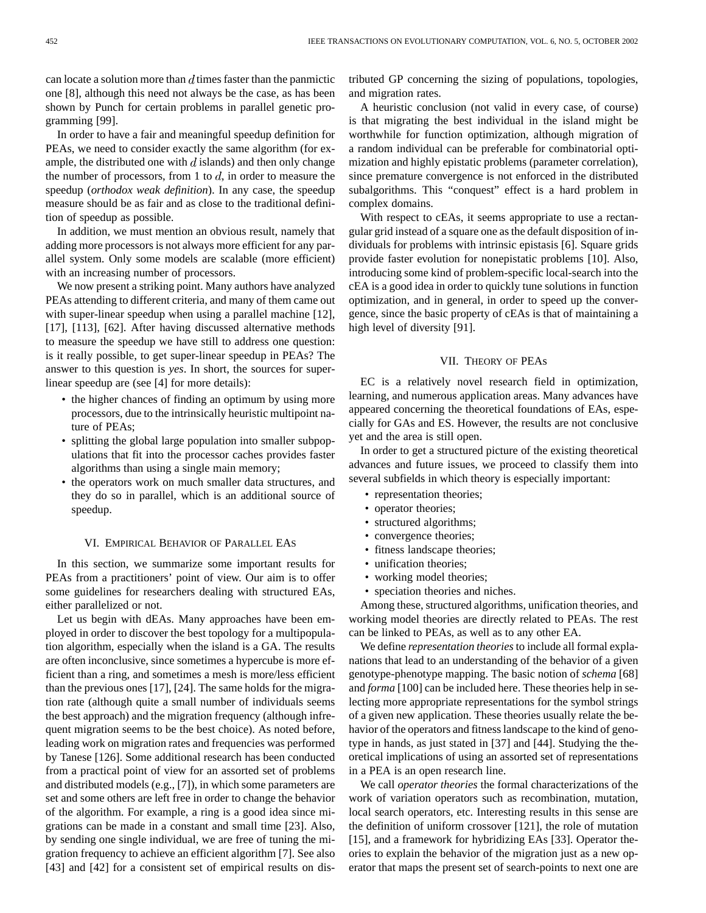can locate a solution more than  $d$  times faster than the panmictic one [8], although this need not always be the case, as has been shown by Punch for certain problems in parallel genetic programming [99].

In order to have a fair and meaningful speedup definition for PEAs, we need to consider exactly the same algorithm (for example, the distributed one with  $d$  islands) and then only change the number of processors, from 1 to  $d$ , in order to measure the speedup (*orthodox weak definition*). In any case, the speedup measure should be as fair and as close to the traditional definition of speedup as possible.

In addition, we must mention an obvious result, namely that adding more processors is not always more efficient for any parallel system. Only some models are scalable (more efficient) with an increasing number of processors.

We now present a striking point. Many authors have analyzed PEAs attending to different criteria, and many of them came out with super-linear speedup when using a parallel machine [12], [17], [113], [62]. After having discussed alternative methods to measure the speedup we have still to address one question: is it really possible, to get super-linear speedup in PEAs? The answer to this question is *yes*. In short, the sources for superlinear speedup are (see [4] for more details):

- the higher chances of finding an optimum by using more processors, due to the intrinsically heuristic multipoint nature of PEAs;
- splitting the global large population into smaller subpopulations that fit into the processor caches provides faster algorithms than using a single main memory;
- the operators work on much smaller data structures, and they do so in parallel, which is an additional source of speedup.

#### VI. EMPIRICAL BEHAVIOR OF PARALLEL EAS

In this section, we summarize some important results for PEAs from a practitioners' point of view. Our aim is to offer some guidelines for researchers dealing with structured EAs, either parallelized or not.

Let us begin with dEAs. Many approaches have been employed in order to discover the best topology for a multipopulation algorithm, especially when the island is a GA. The results are often inconclusive, since sometimes a hypercube is more efficient than a ring, and sometimes a mesh is more/less efficient than the previous ones [17], [24]. The same holds for the migration rate (although quite a small number of individuals seems the best approach) and the migration frequency (although infrequent migration seems to be the best choice). As noted before, leading work on migration rates and frequencies was performed by Tanese [126]. Some additional research has been conducted from a practical point of view for an assorted set of problems and distributed models (e.g., [7]), in which some parameters are set and some others are left free in order to change the behavior of the algorithm. For example, a ring is a good idea since migrations can be made in a constant and small time [23]. Also, by sending one single individual, we are free of tuning the migration frequency to achieve an efficient algorithm [7]. See also [43] and [42] for a consistent set of empirical results on distributed GP concerning the sizing of populations, topologies, and migration rates.

A heuristic conclusion (not valid in every case, of course) is that migrating the best individual in the island might be worthwhile for function optimization, although migration of a random individual can be preferable for combinatorial optimization and highly epistatic problems (parameter correlation), since premature convergence is not enforced in the distributed subalgorithms. This "conquest" effect is a hard problem in complex domains.

With respect to cEAs, it seems appropriate to use a rectangular grid instead of a square one as the default disposition of individuals for problems with intrinsic epistasis [6]. Square grids provide faster evolution for nonepistatic problems [10]. Also, introducing some kind of problem-specific local-search into the cEA is a good idea in order to quickly tune solutions in function optimization, and in general, in order to speed up the convergence, since the basic property of cEAs is that of maintaining a high level of diversity [91].

## VII. THEORY OF PEAs

EC is a relatively novel research field in optimization, learning, and numerous application areas. Many advances have appeared concerning the theoretical foundations of EAs, especially for GAs and ES. However, the results are not conclusive yet and the area is still open.

In order to get a structured picture of the existing theoretical advances and future issues, we proceed to classify them into several subfields in which theory is especially important:

- representation theories;
- operator theories;
- structured algorithms;
- convergence theories;
- fitness landscape theories;
- unification theories:
- working model theories;
- speciation theories and niches.

Among these, structured algorithms, unification theories, and working model theories are directly related to PEAs. The rest can be linked to PEAs, as well as to any other EA.

We define *representation theories*to include all formal explanations that lead to an understanding of the behavior of a given genotype-phenotype mapping. The basic notion of *schema* [68] and *forma* [100] can be included here. These theories help in selecting more appropriate representations for the symbol strings of a given new application. These theories usually relate the behavior of the operators and fitness landscape to the kind of genotype in hands, as just stated in [37] and [44]. Studying the theoretical implications of using an assorted set of representations in a PEA is an open research line.

We call *operator theories* the formal characterizations of the work of variation operators such as recombination, mutation, local search operators, etc. Interesting results in this sense are the definition of uniform crossover [121], the role of mutation [15], and a framework for hybridizing EAs [33]. Operator theories to explain the behavior of the migration just as a new operator that maps the present set of search-points to next one are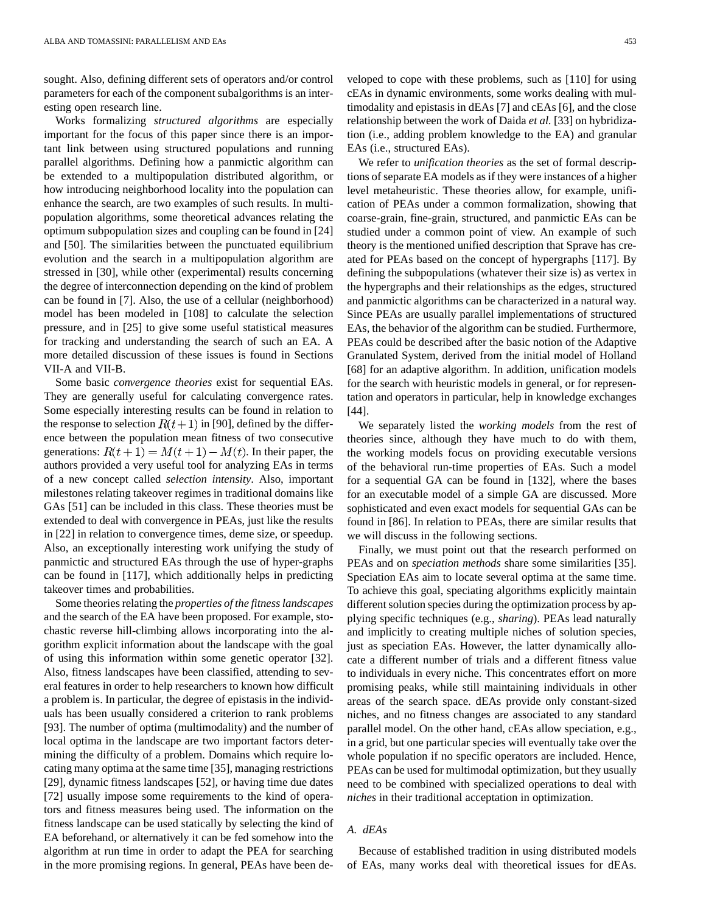sought. Also, defining different sets of operators and/or control parameters for each of the component subalgorithms is an interesting open research line.

Works formalizing *structured algorithms* are especially important for the focus of this paper since there is an important link between using structured populations and running parallel algorithms. Defining how a panmictic algorithm can be extended to a multipopulation distributed algorithm, or how introducing neighborhood locality into the population can enhance the search, are two examples of such results. In multipopulation algorithms, some theoretical advances relating the optimum subpopulation sizes and coupling can be found in [24] and [50]. The similarities between the punctuated equilibrium evolution and the search in a multipopulation algorithm are stressed in [30], while other (experimental) results concerning the degree of interconnection depending on the kind of problem can be found in [7]. Also, the use of a cellular (neighborhood) model has been modeled in [108] to calculate the selection pressure, and in [25] to give some useful statistical measures for tracking and understanding the search of such an EA. A more detailed discussion of these issues is found in Sections VII-A and VII-B.

Some basic *convergence theories* exist for sequential EAs. They are generally useful for calculating convergence rates. Some especially interesting results can be found in relation to the response to selection  $R(t+1)$  in [90], defined by the difference between the population mean fitness of two consecutive generations:  $R(t + 1) = M(t + 1) - M(t)$ . In their paper, the authors provided a very useful tool for analyzing EAs in terms of a new concept called *selection intensity*. Also, important milestones relating takeover regimes in traditional domains like GAs [51] can be included in this class. These theories must be extended to deal with convergence in PEAs, just like the results in [22] in relation to convergence times, deme size, or speedup. Also, an exceptionally interesting work unifying the study of panmictic and structured EAs through the use of hyper-graphs can be found in [117], which additionally helps in predicting takeover times and probabilities.

Some theories relating the *properties of the fitness landscapes* and the search of the EA have been proposed. For example, stochastic reverse hill-climbing allows incorporating into the algorithm explicit information about the landscape with the goal of using this information within some genetic operator [32]. Also, fitness landscapes have been classified, attending to several features in order to help researchers to known how difficult a problem is. In particular, the degree of epistasis in the individuals has been usually considered a criterion to rank problems [93]. The number of optima (multimodality) and the number of local optima in the landscape are two important factors determining the difficulty of a problem. Domains which require locating many optima at the same time [35], managing restrictions [29], dynamic fitness landscapes [52], or having time due dates [72] usually impose some requirements to the kind of operators and fitness measures being used. The information on the fitness landscape can be used statically by selecting the kind of EA beforehand, or alternatively it can be fed somehow into the algorithm at run time in order to adapt the PEA for searching in the more promising regions. In general, PEAs have been developed to cope with these problems, such as [110] for using cEAs in dynamic environments, some works dealing with multimodality and epistasis in dEAs [7] and cEAs [6], and the close relationship between the work of Daida *et al.* [33] on hybridization (i.e., adding problem knowledge to the EA) and granular EAs (i.e., structured EAs).

We refer to *unification theories* as the set of formal descriptions of separate EA models as if they were instances of a higher level metaheuristic. These theories allow, for example, unification of PEAs under a common formalization, showing that coarse-grain, fine-grain, structured, and panmictic EAs can be studied under a common point of view. An example of such theory is the mentioned unified description that Sprave has created for PEAs based on the concept of hypergraphs [117]. By defining the subpopulations (whatever their size is) as vertex in the hypergraphs and their relationships as the edges, structured and panmictic algorithms can be characterized in a natural way. Since PEAs are usually parallel implementations of structured EAs, the behavior of the algorithm can be studied. Furthermore, PEAs could be described after the basic notion of the Adaptive Granulated System, derived from the initial model of Holland [68] for an adaptive algorithm. In addition, unification models for the search with heuristic models in general, or for representation and operators in particular, help in knowledge exchanges [44].

We separately listed the *working models* from the rest of theories since, although they have much to do with them, the working models focus on providing executable versions of the behavioral run-time properties of EAs. Such a model for a sequential GA can be found in [132], where the bases for an executable model of a simple GA are discussed. More sophisticated and even exact models for sequential GAs can be found in [86]. In relation to PEAs, there are similar results that we will discuss in the following sections.

Finally, we must point out that the research performed on PEAs and on *speciation methods* share some similarities [35]. Speciation EAs aim to locate several optima at the same time. To achieve this goal, speciating algorithms explicitly maintain different solution species during the optimization process by applying specific techniques (e.g., *sharing*). PEAs lead naturally and implicitly to creating multiple niches of solution species, just as speciation EAs. However, the latter dynamically allocate a different number of trials and a different fitness value to individuals in every niche. This concentrates effort on more promising peaks, while still maintaining individuals in other areas of the search space. dEAs provide only constant-sized niches, and no fitness changes are associated to any standard parallel model. On the other hand, cEAs allow speciation, e.g., in a grid, but one particular species will eventually take over the whole population if no specific operators are included. Hence, PEAs can be used for multimodal optimization, but they usually need to be combined with specialized operations to deal with *niches* in their traditional acceptation in optimization.

#### *A. dEAs*

Because of established tradition in using distributed models of EAs, many works deal with theoretical issues for dEAs.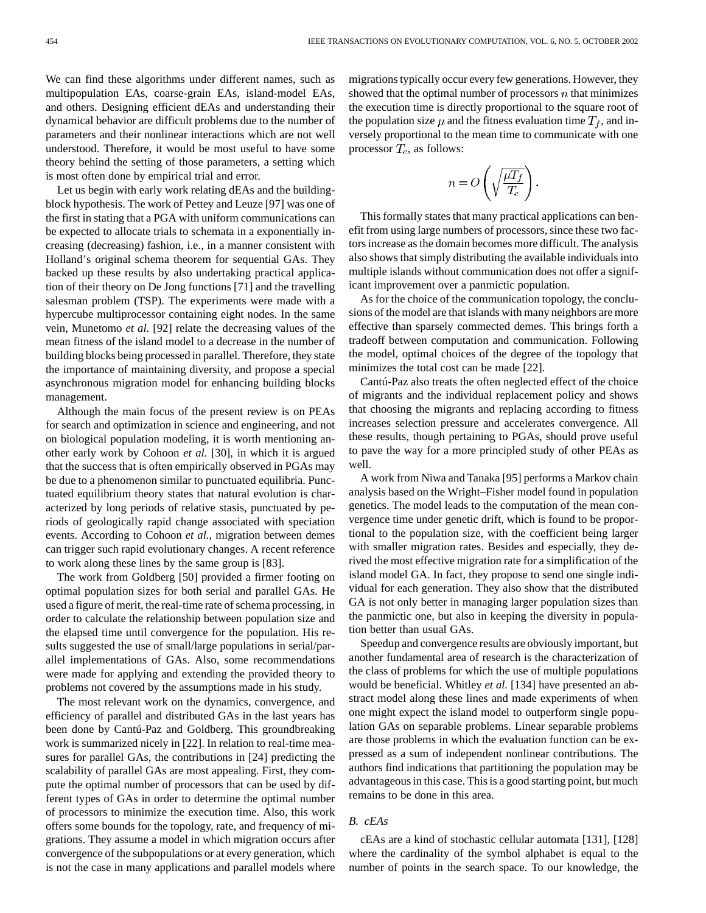We can find these algorithms under different names, such as multipopulation EAs, coarse-grain EAs, island-model EAs, and others. Designing efficient dEAs and understanding their dynamical behavior are difficult problems due to the number of parameters and their nonlinear interactions which are not well understood. Therefore, it would be most useful to have some theory behind the setting of those parameters, a setting which is most often done by empirical trial and error.

Let us begin with early work relating dEAs and the buildingblock hypothesis. The work of Pettey and Leuze [97] was one of the first in stating that a PGA with uniform communications can be expected to allocate trials to schemata in a exponentially increasing (decreasing) fashion, i.e., in a manner consistent with Holland's original schema theorem for sequential GAs. They backed up these results by also undertaking practical application of their theory on De Jong functions [71] and the travelling salesman problem (TSP). The experiments were made with a hypercube multiprocessor containing eight nodes. In the same vein, Munetomo *et al.* [92] relate the decreasing values of the mean fitness of the island model to a decrease in the number of building blocks being processed in parallel. Therefore, they state the importance of maintaining diversity, and propose a special asynchronous migration model for enhancing building blocks management.

Although the main focus of the present review is on PEAs for search and optimization in science and engineering, and not on biological population modeling, it is worth mentioning another early work by Cohoon *et al.* [30], in which it is argued that the success that is often empirically observed in PGAs may be due to a phenomenon similar to punctuated equilibria. Punctuated equilibrium theory states that natural evolution is characterized by long periods of relative stasis, punctuated by periods of geologically rapid change associated with speciation events. According to Cohoon *et al.*, migration between demes can trigger such rapid evolutionary changes. A recent reference to work along these lines by the same group is [83].

The work from Goldberg [50] provided a firmer footing on optimal population sizes for both serial and parallel GAs. He used a figure of merit, the real-time rate of schema processing, in order to calculate the relationship between population size and the elapsed time until convergence for the population. His results suggested the use of small/large populations in serial/parallel implementations of GAs. Also, some recommendations were made for applying and extending the provided theory to problems not covered by the assumptions made in his study.

The most relevant work on the dynamics, convergence, and efficiency of parallel and distributed GAs in the last years has been done by Cantú-Paz and Goldberg. This groundbreaking work is summarized nicely in [22]. In relation to real-time measures for parallel GAs, the contributions in [24] predicting the scalability of parallel GAs are most appealing. First, they compute the optimal number of processors that can be used by different types of GAs in order to determine the optimal number of processors to minimize the execution time. Also, this work offers some bounds for the topology, rate, and frequency of migrations. They assume a model in which migration occurs after convergence of the subpopulations or at every generation, which is not the case in many applications and parallel models where migrations typically occur every few generations. However, they showed that the optimal number of processors  $n$  that minimizes the execution time is directly proportional to the square root of the population size  $\mu$  and the fitness evaluation time  $T_f$ , and inversely proportional to the mean time to communicate with one processor  $T_c$ , as follows:

$$
n = O\left(\sqrt{\frac{\mu T_f}{T_c}}\right)
$$

This formally states that many practical applications can benefit from using large numbers of processors, since these two factors increase as the domain becomes more difficult. The analysis also shows that simply distributing the available individuals into multiple islands without communication does not offer a significant improvement over a panmictic population.

As for the choice of the communication topology, the conclusions of the model are that islands with many neighbors are more effective than sparsely commected demes. This brings forth a tradeoff between computation and communication. Following the model, optimal choices of the degree of the topology that minimizes the total cost can be made [22].

Cantú-Paz also treats the often neglected effect of the choice of migrants and the individual replacement policy and shows that choosing the migrants and replacing according to fitness increases selection pressure and accelerates convergence. All these results, though pertaining to PGAs, should prove useful to pave the way for a more principled study of other PEAs as well.

A work from Niwa and Tanaka [95] performs a Markov chain analysis based on the Wright–Fisher model found in population genetics. The model leads to the computation of the mean convergence time under genetic drift, which is found to be proportional to the population size, with the coefficient being larger with smaller migration rates. Besides and especially, they derived the most effective migration rate for a simplification of the island model GA. In fact, they propose to send one single individual for each generation. They also show that the distributed GA is not only better in managing larger population sizes than the panmictic one, but also in keeping the diversity in population better than usual GAs.

Speedup and convergence results are obviously important, but another fundamental area of research is the characterization of the class of problems for which the use of multiple populations would be beneficial. Whitley *et al.* [134] have presented an abstract model along these lines and made experiments of when one might expect the island model to outperform single population GAs on separable problems. Linear separable problems are those problems in which the evaluation function can be expressed as a sum of independent nonlinear contributions. The authors find indications that partitioning the population may be advantageous in this case. This is a good starting point, but much remains to be done in this area.

# *B. cEAs*

cEAs are a kind of stochastic cellular automata [131], [128] where the cardinality of the symbol alphabet is equal to the number of points in the search space. To our knowledge, the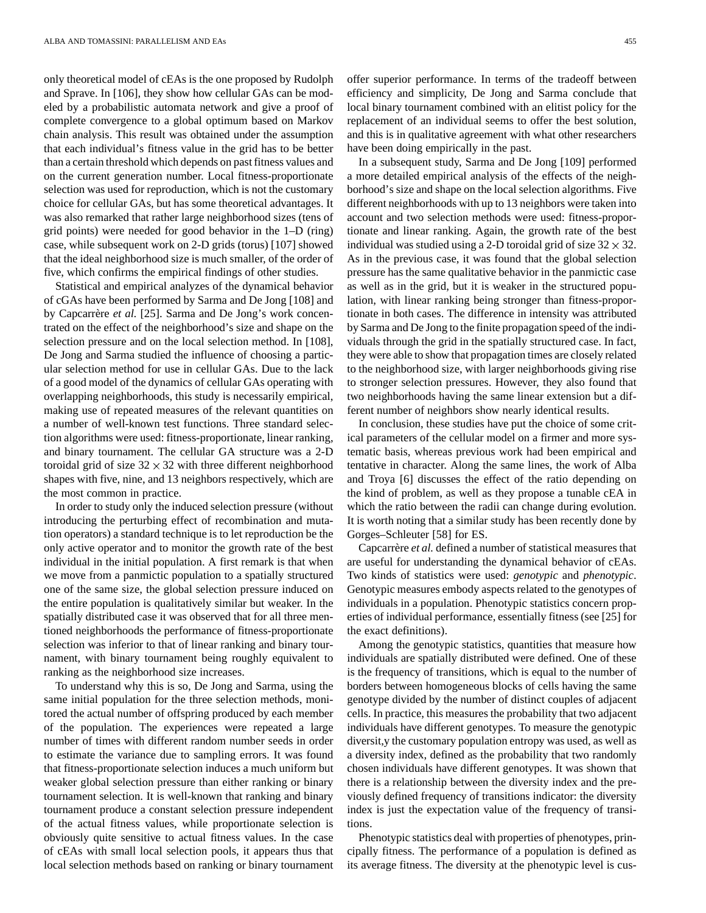only theoretical model of cEAs is the one proposed by Rudolph and Sprave. In [106], they show how cellular GAs can be modeled by a probabilistic automata network and give a proof of complete convergence to a global optimum based on Markov chain analysis. This result was obtained under the assumption that each individual's fitness value in the grid has to be better than a certain threshold which depends on past fitness values and on the current generation number. Local fitness-proportionate selection was used for reproduction, which is not the customary choice for cellular GAs, but has some theoretical advantages. It was also remarked that rather large neighborhood sizes (tens of grid points) were needed for good behavior in the 1–D (ring) case, while subsequent work on 2-D grids (torus) [107] showed that the ideal neighborhood size is much smaller, of the order of five, which confirms the empirical findings of other studies.

Statistical and empirical analyzes of the dynamical behavior of cGAs have been performed by Sarma and De Jong [108] and by Capcarrère *et al.* [25]. Sarma and De Jong's work concentrated on the effect of the neighborhood's size and shape on the selection pressure and on the local selection method. In [108], De Jong and Sarma studied the influence of choosing a particular selection method for use in cellular GAs. Due to the lack of a good model of the dynamics of cellular GAs operating with overlapping neighborhoods, this study is necessarily empirical, making use of repeated measures of the relevant quantities on a number of well-known test functions. Three standard selection algorithms were used: fitness-proportionate, linear ranking, and binary tournament. The cellular GA structure was a 2-D toroidal grid of size  $32 \times 32$  with three different neighborhood shapes with five, nine, and 13 neighbors respectively, which are the most common in practice.

In order to study only the induced selection pressure (without introducing the perturbing effect of recombination and mutation operators) a standard technique is to let reproduction be the only active operator and to monitor the growth rate of the best individual in the initial population. A first remark is that when we move from a panmictic population to a spatially structured one of the same size, the global selection pressure induced on the entire population is qualitatively similar but weaker. In the spatially distributed case it was observed that for all three mentioned neighborhoods the performance of fitness-proportionate selection was inferior to that of linear ranking and binary tournament, with binary tournament being roughly equivalent to ranking as the neighborhood size increases.

To understand why this is so, De Jong and Sarma, using the same initial population for the three selection methods, monitored the actual number of offspring produced by each member of the population. The experiences were repeated a large number of times with different random number seeds in order to estimate the variance due to sampling errors. It was found that fitness-proportionate selection induces a much uniform but weaker global selection pressure than either ranking or binary tournament selection. It is well-known that ranking and binary tournament produce a constant selection pressure independent of the actual fitness values, while proportionate selection is obviously quite sensitive to actual fitness values. In the case of cEAs with small local selection pools, it appears thus that local selection methods based on ranking or binary tournament offer superior performance. In terms of the tradeoff between efficiency and simplicity, De Jong and Sarma conclude that local binary tournament combined with an elitist policy for the replacement of an individual seems to offer the best solution, and this is in qualitative agreement with what other researchers have been doing empirically in the past.

In a subsequent study, Sarma and De Jong [109] performed a more detailed empirical analysis of the effects of the neighborhood's size and shape on the local selection algorithms. Five different neighborhoods with up to 13 neighbors were taken into account and two selection methods were used: fitness-proportionate and linear ranking. Again, the growth rate of the best individual was studied using a 2-D toroidal grid of size  $32 \times 32$ . As in the previous case, it was found that the global selection pressure has the same qualitative behavior in the panmictic case as well as in the grid, but it is weaker in the structured population, with linear ranking being stronger than fitness-proportionate in both cases. The difference in intensity was attributed by Sarma and De Jong to the finite propagation speed of the individuals through the grid in the spatially structured case. In fact, they were able to show that propagation times are closely related to the neighborhood size, with larger neighborhoods giving rise to stronger selection pressures. However, they also found that two neighborhoods having the same linear extension but a different number of neighbors show nearly identical results.

In conclusion, these studies have put the choice of some critical parameters of the cellular model on a firmer and more systematic basis, whereas previous work had been empirical and tentative in character. Along the same lines, the work of Alba and Troya [6] discusses the effect of the ratio depending on the kind of problem, as well as they propose a tunable cEA in which the ratio between the radii can change during evolution. It is worth noting that a similar study has been recently done by Gorges–Schleuter [58] for ES.

Capcarrère *et al.* defined a number of statistical measures that are useful for understanding the dynamical behavior of cEAs. Two kinds of statistics were used: *genotypic* and *phenotypic*. Genotypic measures embody aspects related to the genotypes of individuals in a population. Phenotypic statistics concern properties of individual performance, essentially fitness (see [25] for the exact definitions).

Among the genotypic statistics, quantities that measure how individuals are spatially distributed were defined. One of these is the frequency of transitions, which is equal to the number of borders between homogeneous blocks of cells having the same genotype divided by the number of distinct couples of adjacent cells. In practice, this measures the probability that two adjacent individuals have different genotypes. To measure the genotypic diversit,y the customary population entropy was used, as well as a diversity index, defined as the probability that two randomly chosen individuals have different genotypes. It was shown that there is a relationship between the diversity index and the previously defined frequency of transitions indicator: the diversity index is just the expectation value of the frequency of transitions.

Phenotypic statistics deal with properties of phenotypes, principally fitness. The performance of a population is defined as its average fitness. The diversity at the phenotypic level is cus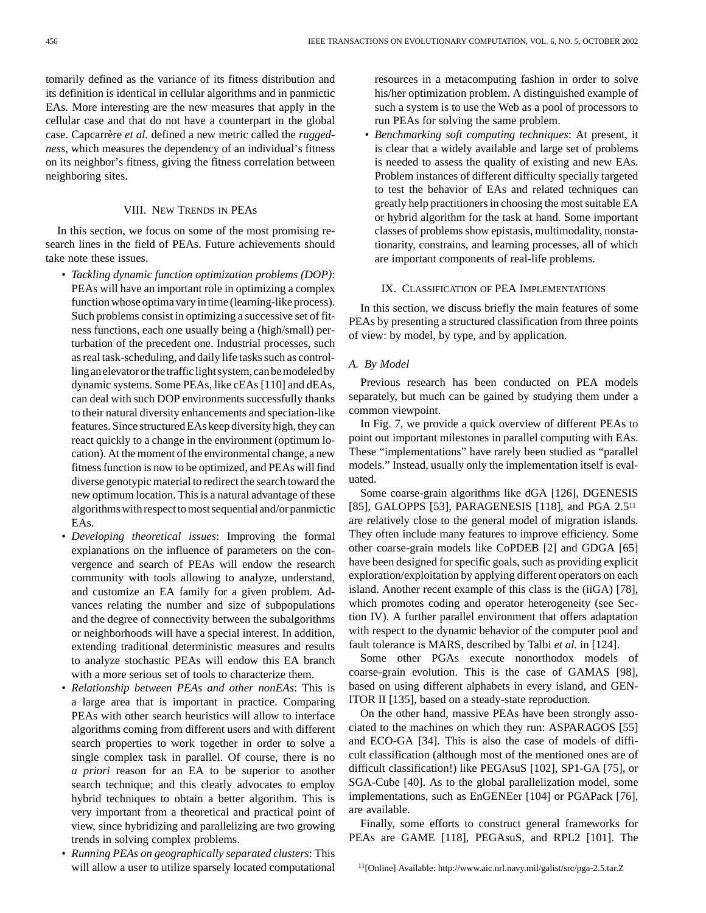tomarily defined as the variance of its fitness distribution and its definition is identical in cellular algorithms and in panmictic EAs. More interesting are the new measures that apply in the cellular case and that do not have a counterpart in the global case. Capcarrère *et al.* defined a new metric called the *ruggedness*, which measures the dependency of an individual's fitness on its neighbor's fitness, giving the fitness correlation between neighboring sites.

## VIII. NEW TRENDS IN PEAs

In this section, we focus on some of the most promising research lines in the field of PEAs. Future achievements should take note these issues.

- *Tackling dynamic function optimization problems (DOP)*: PEAs will have an important role in optimizing a complex function whose optima vary in time (learning-like process). Such problems consist in optimizing a successive set of fitness functions, each one usually being a (high/small) perturbation of the precedent one. Industrial processes, such as real task-scheduling, and daily life tasks such as controlling an elevator or the traffic light system, can be modeled by dynamic systems. Some PEAs, like cEAs [110] and dEAs, can deal with such DOP environments successfully thanks to their natural diversity enhancements and speciation-like features. Since structured EAs keep diversity high, they can react quickly to a change in the environment (optimum location). At the moment of the environmental change, a new fitness function is now to be optimized, and PEAs will find diverse genotypic material to redirect the search toward the new optimum location. This is a natural advantage of these algorithmswithrespecttomostsequentialand/orpanmictic EAs.
- *Developing theoretical issues*: Improving the formal explanations on the influence of parameters on the convergence and search of PEAs will endow the research community with tools allowing to analyze, understand, and customize an EA family for a given problem. Advances relating the number and size of subpopulations and the degree of connectivity between the subalgorithms or neighborhoods will have a special interest. In addition, extending traditional deterministic measures and results to analyze stochastic PEAs will endow this EA branch with a more serious set of tools to characterize them.
- *Relationship between PEAs and other nonEAs*: This is a large area that is important in practice. Comparing PEAs with other search heuristics will allow to interface algorithms coming from different users and with different search properties to work together in order to solve a single complex task in parallel. Of course, there is no *a priori* reason for an EA to be superior to another search technique; and this clearly advocates to employ hybrid techniques to obtain a better algorithm. This is very important from a theoretical and practical point of view, since hybridizing and parallelizing are two growing trends in solving complex problems.
- *Running PEAs on geographically separated clusters*: This will allow a user to utilize sparsely located computational

resources in a metacomputing fashion in order to solve his/her optimization problem. A distinguished example of such a system is to use the Web as a pool of processors to run PEAs for solving the same problem.

• *Benchmarking soft computing techniques*: At present, it is clear that a widely available and large set of problems is needed to assess the quality of existing and new EAs. Problem instances of different difficulty specially targeted to test the behavior of EAs and related techniques can greatly help practitioners in choosing the most suitable EA or hybrid algorithm for the task at hand. Some important classes of problems show epistasis, multimodality, nonstationarity, constrains, and learning processes, all of which are important components of real-life problems.

#### IX. CLASSIFICATION OF PEA IMPLEMENTATIONS

In this section, we discuss briefly the main features of some PEAs by presenting a structured classification from three points of view: by model, by type, and by application.

#### *A. By Model*

Previous research has been conducted on PEA models separately, but much can be gained by studying them under a common viewpoint.

In Fig. 7, we provide a quick overview of different PEAs to point out important milestones in parallel computing with EAs. These "implementations" have rarely been studied as "parallel models." Instead, usually only the implementation itself is evaluated.

Some coarse-grain algorithms like dGA [126], DGENESIS [85], GALOPPS [53], PARAGENESIS [118], and PGA 2.5<sup>11</sup> are relatively close to the general model of migration islands. They often include many features to improve efficiency. Some other coarse-grain models like CoPDEB [2] and GDGA [65] have been designed for specific goals, such as providing explicit exploration/exploitation by applying different operators on each island. Another recent example of this class is the (iiGA) [78], which promotes coding and operator heterogeneity (see Section IV). A further parallel environment that offers adaptation with respect to the dynamic behavior of the computer pool and fault tolerance is MARS, described by Talbi *et al.* in [124].

Some other PGAs execute nonorthodox models of coarse-grain evolution. This is the case of GAMAS [98], based on using different alphabets in every island, and GEN-ITOR II [135], based on a steady-state reproduction.

On the other hand, massive PEAs have been strongly associated to the machines on which they run: ASPARAGOS [55] and ECO-GA [34]. This is also the case of models of difficult classification (although most of the mentioned ones are of difficult classification!) like PEGAsuS [102], SP1-GA [75], or SGA-Cube [40]. As to the global parallelization model, some implementations, such as EnGENEer [104] or PGAPack [76], are available.

Finally, some efforts to construct general frameworks for PEAs are GAME [118], PEGAsuS, and RPL2 [101]. The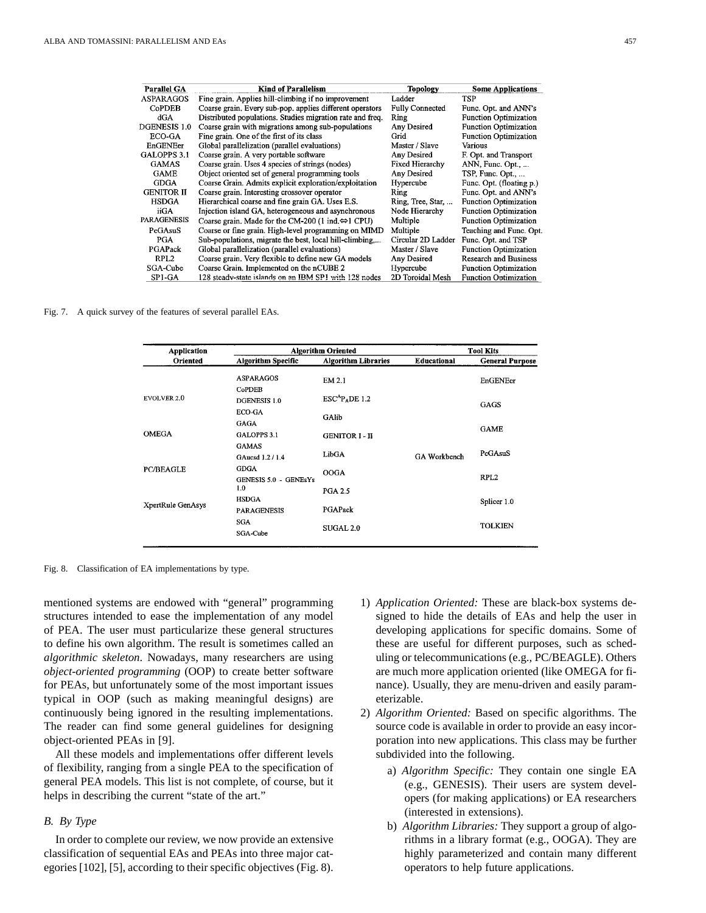|                     | <b>Kind of Parallelism</b>                                         |                        |                              |
|---------------------|--------------------------------------------------------------------|------------------------|------------------------------|
| Parallel GA         |                                                                    | <b>Topology</b>        | <b>Some Applications</b>     |
| <b>ASPARAGOS</b>    | Fine grain. Applies hill-climbing if no improvement                | Ladder                 | TSP                          |
| <b>CoPDEB</b>       | Coarse grain. Every sub-pop. applies different operators           | <b>Fully Connected</b> | Func. Opt. and ANN's         |
| dGA                 | Distributed populations. Studies migration rate and freq.          | Ring                   | <b>Function Optimization</b> |
| <b>DGENESIS 1.0</b> | Coarse grain with migrations among sub-populations                 | Any Desired            | <b>Function Optimization</b> |
| ECO-GA              | Fine grain. One of the first of its class                          | Grid                   | <b>Function Optimization</b> |
| EnGENEer            | Global parallelization (parallel evaluations)                      | Master / Slave         | Various                      |
| GALOPPS 3.1         | Coarse grain. A very portable software                             | Any Desired            | F. Opt. and Transport        |
| <b>GAMAS</b>        | Coarse grain. Uses 4 species of strings (nodes)                    | Fixed Hierarchy        | ANN, Func. Opt.,             |
| <b>GAME</b>         | Object oriented set of general programming tools                   | Any Desired            | TSP, Func. Opt.,             |
| <b>GDGA</b>         | Coarse Grain. Admits explicit exploration/exploitation             | Hypercube              | Func. Opt. (floating p.)     |
| <b>GENITOR II</b>   | Coarse grain. Interesting crossover operator                       | Ring.                  | Func. Opt. and ANN's         |
| <b>HSDGA</b>        | Hierarchical coarse and fine grain GA. Uses E.S.                   | Ring, Tree, Star,      | <b>Function Optimization</b> |
| iiGA                | Injection island GA, heterogeneous and asynchronous                | Node Hierarchy         | <b>Function Optimization</b> |
| <b>PARAGENESIS</b>  | Coarse grain. Made for the CM-200 (1 ind. $\Leftrightarrow$ 1 CPU) | Multiple               | <b>Function Optimization</b> |
| PeGAsuS             | Coarse or fine grain. High-level programming on MIMD               | Multiple               | Teaching and Func. Opt.      |
| PGA                 | Sub-populations, migrate the best, local hill-climbing             | Circular 2D Ladder     | Func. Opt. and TSP           |
| PGAPack             | Global parallelization (parallel evaluations)                      | Master / Slave         | <b>Function Optimization</b> |
| RPL <sub>2</sub>    | Coarse grain. Very flexible to define new GA models                | Any Desired            | <b>Research and Business</b> |
| SGA-Cube            | Coarse Grain. Implemented on the nCUBE 2                           | Hypercube              | <b>Function Optimization</b> |
| SP1-GA              | 128 steady-state islands on an IBM SP1 with 128 nodes              | 2D Toroidal Mesh       | <b>Function Optimization</b> |

Fig. 7. A quick survey of the features of several parallel EAs.

| Application        | <b>Algorithm Oriented</b>                   |                                        |                    | <b>Tool Kits</b>       |  |
|--------------------|---------------------------------------------|----------------------------------------|--------------------|------------------------|--|
| Oriented           | <b>Algorithm Specific</b>                   | <b>Algorithm Libraries</b>             | <b>Educational</b> | <b>General Purpose</b> |  |
|                    | <b>ASPARAGOS</b>                            | EM 2.1                                 | GA Workbench       | EnGENEer               |  |
| <b>EVOLVER 2.0</b> | CoPDEB<br>DGENESIS 1.0                      | ESC <sup>A</sup> P <sub>A</sub> DE 1.2 |                    | GAGS                   |  |
|                    | ECO-GA<br><b>GAGA</b>                       | GAlib                                  |                    |                        |  |
| <b>OMEGA</b>       | <b>GALOPPS 3.1</b>                          | <b>GENITOR I - II</b>                  |                    | <b>GAME</b>            |  |
|                    | <b>GAMAS</b><br>GAucsd 1.2/1.4              | LibGA                                  |                    | PeGAsuS                |  |
| <b>PC/BEAGLE</b>   | <b>GDGA</b><br><b>GENESIS 5.0 - GENESYS</b> | <b>OOGA</b>                            |                    | RPL <sub>2</sub>       |  |
|                    | 1.0                                         | <b>PGA 2.5</b>                         |                    |                        |  |
| XpertRule GenAsys  | <b>HSDGA</b><br><b>PARAGENESIS</b>          | PGAPack                                |                    | Splicer 1.0            |  |
|                    | <b>SGA</b><br>SGA-Cube                      | <b>SUGAL 2.0</b>                       |                    | <b>TOLKIEN</b>         |  |

#### Fig. 8. Classification of EA implementations by type.

mentioned systems are endowed with "general" programming structures intended to ease the implementation of any model of PEA. The user must particularize these general structures to define his own algorithm. The result is sometimes called an *algorithmic skeleton*. Nowadays, many researchers are using *object-oriented programming* (OOP) to create better software for PEAs, but unfortunately some of the most important issues typical in OOP (such as making meaningful designs) are continuously being ignored in the resulting implementations. The reader can find some general guidelines for designing object-oriented PEAs in [9].

All these models and implementations offer different levels of flexibility, ranging from a single PEA to the specification of general PEA models. This list is not complete, of course, but it helps in describing the current "state of the art."

#### *B. By Type*

In order to complete our review, we now provide an extensive classification of sequential EAs and PEAs into three major categories [102], [5], according to their specific objectives (Fig. 8).

- 1) *Application Oriented:* These are black-box systems designed to hide the details of EAs and help the user in developing applications for specific domains. Some of these are useful for different purposes, such as scheduling or telecommunications (e.g., PC/BEAGLE). Others are much more application oriented (like OMEGA for finance). Usually, they are menu-driven and easily parameterizable.
- 2) *Algorithm Oriented:* Based on specific algorithms. The source code is available in order to provide an easy incorporation into new applications. This class may be further subdivided into the following.
	- a) *Algorithm Specific:* They contain one single EA (e.g., GENESIS). Their users are system developers (for making applications) or EA researchers (interested in extensions).
	- b) *Algorithm Libraries:* They support a group of algorithms in a library format (e.g., OOGA). They are highly parameterized and contain many different operators to help future applications.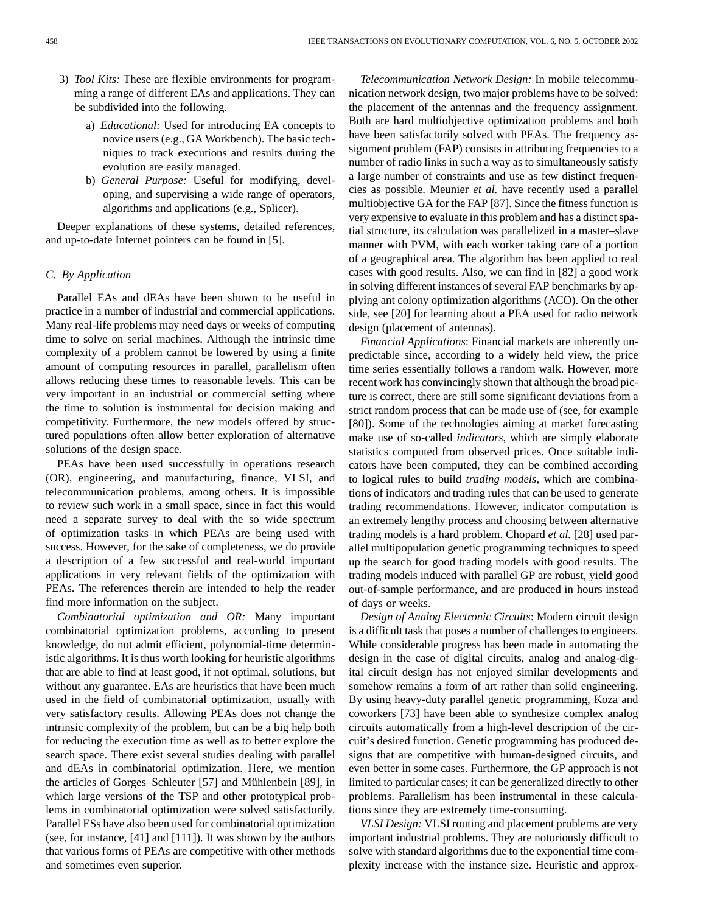- 3) *Tool Kits:* These are flexible environments for programming a range of different EAs and applications. They can be subdivided into the following.
	- a) *Educational:* Used for introducing EA concepts to novice users (e.g., GA Workbench). The basic techniques to track executions and results during the evolution are easily managed.
	- b) *General Purpose:* Useful for modifying, developing, and supervising a wide range of operators, algorithms and applications (e.g., Splicer).

Deeper explanations of these systems, detailed references, and up-to-date Internet pointers can be found in [5].

# *C. By Application*

Parallel EAs and dEAs have been shown to be useful in practice in a number of industrial and commercial applications. Many real-life problems may need days or weeks of computing time to solve on serial machines. Although the intrinsic time complexity of a problem cannot be lowered by using a finite amount of computing resources in parallel, parallelism often allows reducing these times to reasonable levels. This can be very important in an industrial or commercial setting where the time to solution is instrumental for decision making and competitivity. Furthermore, the new models offered by structured populations often allow better exploration of alternative solutions of the design space.

PEAs have been used successfully in operations research (OR), engineering, and manufacturing, finance, VLSI, and telecommunication problems, among others. It is impossible to review such work in a small space, since in fact this would need a separate survey to deal with the so wide spectrum of optimization tasks in which PEAs are being used with success. However, for the sake of completeness, we do provide a description of a few successful and real-world important applications in very relevant fields of the optimization with PEAs. The references therein are intended to help the reader find more information on the subject.

*Combinatorial optimization and OR:* Many important combinatorial optimization problems, according to present knowledge, do not admit efficient, polynomial-time deterministic algorithms. It is thus worth looking for heuristic algorithms that are able to find at least good, if not optimal, solutions, but without any guarantee. EAs are heuristics that have been much used in the field of combinatorial optimization, usually with very satisfactory results. Allowing PEAs does not change the intrinsic complexity of the problem, but can be a big help both for reducing the execution time as well as to better explore the search space. There exist several studies dealing with parallel and dEAs in combinatorial optimization. Here, we mention the articles of Gorges–Schleuter [57] and Mühlenbein [89], in which large versions of the TSP and other prototypical problems in combinatorial optimization were solved satisfactorily. Parallel ESs have also been used for combinatorial optimization (see, for instance, [41] and [111]). It was shown by the authors that various forms of PEAs are competitive with other methods and sometimes even superior.

*Telecommunication Network Design:* In mobile telecommunication network design, two major problems have to be solved: the placement of the antennas and the frequency assignment. Both are hard multiobjective optimization problems and both have been satisfactorily solved with PEAs. The frequency assignment problem (FAP) consists in attributing frequencies to a number of radio links in such a way as to simultaneously satisfy a large number of constraints and use as few distinct frequencies as possible. Meunier *et al.* have recently used a parallel multiobjective GA for the FAP [87]. Since the fitness function is very expensive to evaluate in this problem and has a distinct spatial structure, its calculation was parallelized in a master–slave manner with PVM, with each worker taking care of a portion of a geographical area. The algorithm has been applied to real cases with good results. Also, we can find in [82] a good work in solving different instances of several FAP benchmarks by applying ant colony optimization algorithms (ACO). On the other side, see [20] for learning about a PEA used for radio network design (placement of antennas).

*Financial Applications*: Financial markets are inherently unpredictable since, according to a widely held view, the price time series essentially follows a random walk. However, more recent work has convincingly shown that although the broad picture is correct, there are still some significant deviations from a strict random process that can be made use of (see, for example [80]). Some of the technologies aiming at market forecasting make use of so-called *indicators*, which are simply elaborate statistics computed from observed prices. Once suitable indicators have been computed, they can be combined according to logical rules to build *trading models*, which are combinations of indicators and trading rules that can be used to generate trading recommendations. However, indicator computation is an extremely lengthy process and choosing between alternative trading models is a hard problem. Chopard *et al.* [28] used parallel multipopulation genetic programming techniques to speed up the search for good trading models with good results. The trading models induced with parallel GP are robust, yield good out-of-sample performance, and are produced in hours instead of days or weeks.

*Design of Analog Electronic Circuits*: Modern circuit design is a difficult task that poses a number of challenges to engineers. While considerable progress has been made in automating the design in the case of digital circuits, analog and analog-digital circuit design has not enjoyed similar developments and somehow remains a form of art rather than solid engineering. By using heavy-duty parallel genetic programming, Koza and coworkers [73] have been able to synthesize complex analog circuits automatically from a high-level description of the circuit's desired function. Genetic programming has produced designs that are competitive with human-designed circuits, and even better in some cases. Furthermore, the GP approach is not limited to particular cases; it can be generalized directly to other problems. Parallelism has been instrumental in these calculations since they are extremely time-consuming.

*VLSI Design:* VLSI routing and placement problems are very important industrial problems. They are notoriously difficult to solve with standard algorithms due to the exponential time complexity increase with the instance size. Heuristic and approx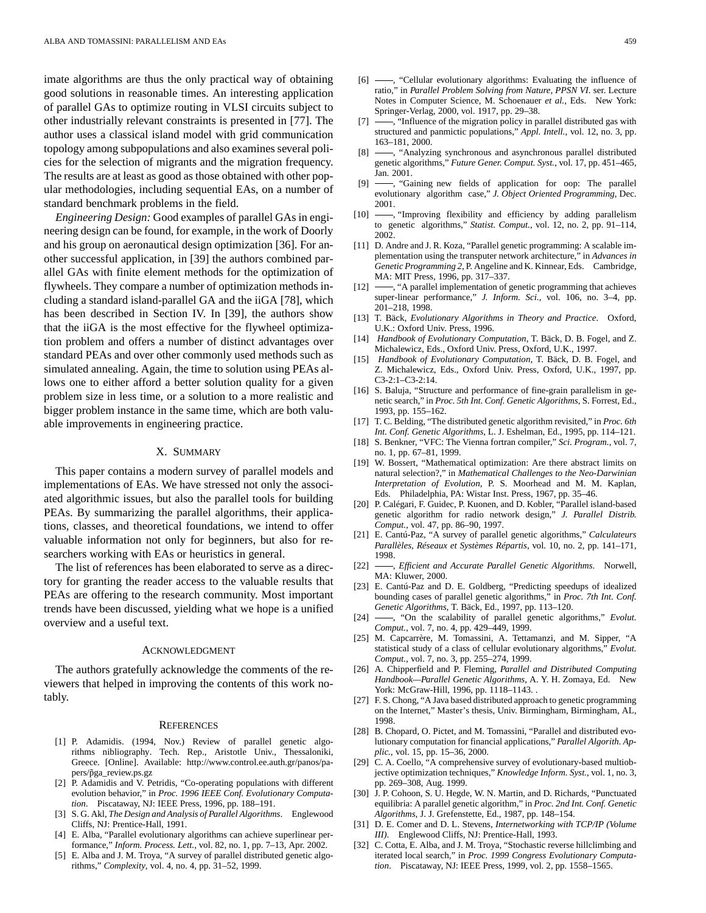imate algorithms are thus the only practical way of obtaining good solutions in reasonable times. An interesting application of parallel GAs to optimize routing in VLSI circuits subject to other industrially relevant constraints is presented in [77]. The author uses a classical island model with grid communication topology among subpopulations and also examines several policies for the selection of migrants and the migration frequency. The results are at least as good as those obtained with other popular methodologies, including sequential EAs, on a number of standard benchmark problems in the field.

*Engineering Design:* Good examples of parallel GAs in engineering design can be found, for example, in the work of Doorly and his group on aeronautical design optimization [36]. For another successful application, in [39] the authors combined parallel GAs with finite element methods for the optimization of flywheels. They compare a number of optimization methods including a standard island-parallel GA and the iiGA [78], which has been described in Section IV. In [39], the authors show that the iiGA is the most effective for the flywheel optimization problem and offers a number of distinct advantages over standard PEAs and over other commonly used methods such as simulated annealing. Again, the time to solution using PEAs allows one to either afford a better solution quality for a given problem size in less time, or a solution to a more realistic and bigger problem instance in the same time, which are both valuable improvements in engineering practice.

#### X. SUMMARY

This paper contains a modern survey of parallel models and implementations of EAs. We have stressed not only the associated algorithmic issues, but also the parallel tools for building PEAs. By summarizing the parallel algorithms, their applications, classes, and theoretical foundations, we intend to offer valuable information not only for beginners, but also for researchers working with EAs or heuristics in general.

The list of references has been elaborated to serve as a directory for granting the reader access to the valuable results that PEAs are offering to the research community. Most important trends have been discussed, yielding what we hope is a unified overview and a useful text.

#### ACKNOWLEDGMENT

The authors gratefully acknowledge the comments of the reviewers that helped in improving the contents of this work notably.

#### **REFERENCES**

- [1] P. Adamidis. (1994, Nov.) Review of parallel genetic algorithms nibliography. Tech. Rep., Aristotle Univ., Thessaloniki, Greece. [Online]. Available: http://www.control.ee.auth.gr/panos/papers/p̃ga\_review.ps.gz
- [2] P. Adamidis and V. Petridis, "Co-operating populations with different evolution behavior," in *Proc. 1996 IEEE Conf. Evolutionary Computation*. Piscataway, NJ: IEEE Press, 1996, pp. 188–191.
- [3] S. G. Akl, *The Design and Analysis of Parallel Algorithms*. Englewood Cliffs, NJ: Prentice-Hall, 1991.
- [4] E. Alba, "Parallel evolutionary algorithms can achieve superlinear performance," *Inform. Process. Lett.*, vol. 82, no. 1, pp. 7–13, Apr. 2002.
- [5] E. Alba and J. M. Troya, "A survey of parallel distributed genetic algorithms," *Complexity*, vol. 4, no. 4, pp. 31–52, 1999.
- [6]  $\rightarrow$  "Cellular evolutionary algorithms: Evaluating the influence of ratio," in *Parallel Problem Solving from Nature, PPSN VI*. ser. Lecture Notes in Computer Science, M. Schoenauer *et al.*, Eds. New York: Springer-Verlag, 2000, vol. 1917, pp. 29–38.
- [7]  $\rightarrow$  "Influence of the migration policy in parallel distributed gas with structured and panmictic populations," *Appl. Intell.*, vol. 12, no. 3, pp. 163–181, 2000.
- [8]  $\rightarrow$  "Analyzing synchronous and asynchronous parallel distributed genetic algorithms," *Future Gener. Comput. Syst.*, vol. 17, pp. 451–465, Jan. 2001.
- [9] -, "Gaining new fields of application for oop: The parallel evolutionary algorithm case," *J. Object Oriented Programming*, Dec. 2001.
- [10] -, "Improving flexibility and efficiency by adding parallelism to genetic algorithms," *Statist. Comput.*, vol. 12, no. 2, pp. 91–114, 2002.
- [11] D. Andre and J. R. Koza, "Parallel genetic programming: A scalable implementation using the transputer network architecture," in *Advances in Genetic Programming 2*, P. Angeline and K. Kinnear, Eds. Cambridge, MA: MIT Press, 1996, pp. 317–337.
- [12]  $\longrightarrow$ , "A parallel implementation of genetic programming that achieves super-linear performance," *J. Inform. Sci.*, vol. 106, no. 3–4, pp. 201–218, 1998.
- [13] T. Bäck, *Evolutionary Algorithms in Theory and Practice*. Oxford, U.K.: Oxford Univ. Press, 1996.
- [14] *Handbook of Evolutionary Computation*, T. Bäck, D. B. Fogel, and Z. Michalewicz, Eds., Oxford Univ. Press, Oxford, U.K., 1997.
- [15] *Handbook of Evolutionary Computation*, T. Bäck, D. B. Fogel, and Z. Michalewicz, Eds., Oxford Univ. Press, Oxford, U.K., 1997, pp. C3-2:1–C3-2:14.
- [16] S. Baluja, "Structure and performance of fine-grain parallelism in genetic search," in *Proc. 5th Int. Conf. Genetic Algorithms*, S. Forrest, Ed., 1993, pp. 155–162.
- [17] T. C. Belding, "The distributed genetic algorithm revisited," in *Proc. 6th Int. Conf. Genetic Algorithms*, L. J. Eshelman, Ed., 1995, pp. 114–121.
- [18] S. Benkner, "VFC: The Vienna fortran compiler," *Sci. Program.*, vol. 7, no. 1, pp. 67–81, 1999.
- [19] W. Bossert, "Mathematical optimization: Are there abstract limits on natural selection?," in *Mathematical Challenges to the Neo-Darwinian Interpretation of Evolution*, P. S. Moorhead and M. M. Kaplan, Eds. Philadelphia, PA: Wistar Inst. Press, 1967, pp. 35–46.
- [20] P. Calégari, F. Guidec, P. Kuonen, and D. Kobler, "Parallel island-based genetic algorithm for radio network design," *J. Parallel Distrib. Comput.*, vol. 47, pp. 86–90, 1997.
- [21] E. Cantú-Paz, "A survey of parallel genetic algorithms," *Calculateurs Parallèles, Réseaux et Systèmes Répartis*, vol. 10, no. 2, pp. 141–171, 1998.
- [22] -, *Efficient and Accurate Parallel Genetic Algorithms*. Norwell, MA: Kluwer, 2000.
- [23] E. Cantú-Paz and D. E. Goldberg, "Predicting speedups of idealized bounding cases of parallel genetic algorithms," in *Proc. 7th Int. Conf. Genetic Algorithms*, T. Bäck, Ed., 1997, pp. 113–120.
- [24] form the scalability of parallel genetic algorithms," *Evolut. Comput.*, vol. 7, no. 4, pp. 429–449, 1999.
- [25] M. Capcarrère, M. Tomassini, A. Tettamanzi, and M. Sipper, "A statistical study of a class of cellular evolutionary algorithms," *Evolut. Comput.*, vol. 7, no. 3, pp. 255–274, 1999.
- [26] A. Chipperfield and P. Fleming, *Parallel and Distributed Computing Handbook—Parallel Genetic Algorithms*, A. Y. H. Zomaya, Ed. New York: McGraw-Hill, 1996, pp. 1118–1143. .
- [27] F. S. Chong, "A Java based distributed approach to genetic programming on the Internet," Master's thesis, Univ. Birmingham, Birmingham, AL, 1998.
- [28] B. Chopard, O. Pictet, and M. Tomassini, "Parallel and distributed evolutionary computation for financial applications," *Parallel Algorith. Applic.*, vol. 15, pp. 15–36, 2000.
- [29] C. A. Coello, "A comprehensive survey of evolutionary-based multiobjective optimization techniques," *Knowledge Inform. Syst.*, vol. 1, no. 3, pp. 269–308, Aug. 1999.
- [30] J. P. Cohoon, S. U. Hegde, W. N. Martin, and D. Richards, "Punctuated equilibria: A parallel genetic algorithm," in *Proc. 2nd Int. Conf. Genetic Algorithms*, J. J. Grefenstette, Ed., 1987, pp. 148–154.
- [31] D. E. Comer and D. L. Stevens, *Internetworking with TCP/IP (Volume III)*. Englewood Cliffs, NJ: Prentice-Hall, 1993.
- [32] C. Cotta, E. Alba, and J. M. Troya, "Stochastic reverse hillclimbing and iterated local search," in *Proc. 1999 Congress Evolutionary Computation*. Piscataway, NJ: IEEE Press, 1999, vol. 2, pp. 1558–1565.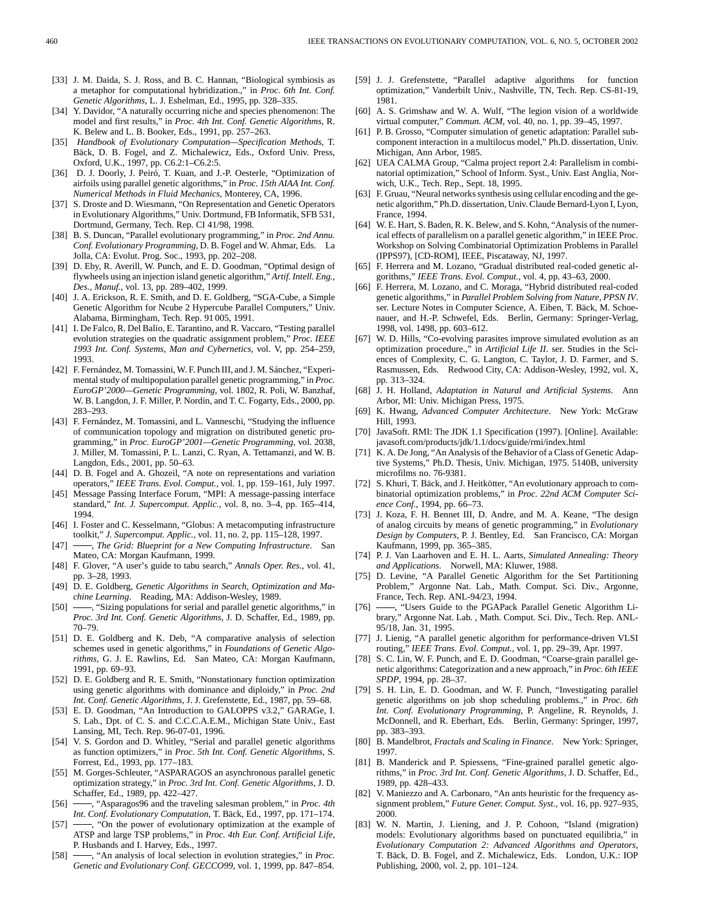- [33] J. M. Daida, S. J. Ross, and B. C. Hannan, "Biological symbiosis as a metaphor for computational hybridization.," in *Proc. 6th Int. Conf. Genetic Algorithms*, L. J. Eshelman, Ed., 1995, pp. 328–335.
- [34] Y. Davidor, "A naturally occurring niche and species phenomenon: The model and first results," in *Proc. 4th Int. Conf. Genetic Algorithms*, R. K. Belew and L. B. Booker, Eds., 1991, pp. 257–263.
- [35] *Handbook of Evolutionary Computation—Specification Methods*, T. Bäck, D. B. Fogel, and Z. Michalewicz, Eds., Oxford Univ. Press, Oxford, U.K., 1997, pp. C6.2:1–C6.2:5.
- [36] D. J. Doorly, J. Peiró, T. Kuan, and J.-P. Oesterle, "Optimization of airfoils using parallel genetic algorithms," in *Proc. 15th AIAA Int. Conf. Numerical Methods in Fluid Mechanics*, Monterey, CA, 1996.
- [37] S. Droste and D. Wiesmann, "On Representation and Genetic Operators in Evolutionary Algorithms," Univ. Dortmund, FB Informatik, SFB 531, Dortmund, Germany, Tech. Rep. CI 41/98, 1998.
- [38] B. S. Duncan, "Parallel evolutionary programming," in *Proc. 2nd Annu. Conf. Evolutionary Programming*, D. B. Fogel and W. Ahmar, Eds. La Jolla, CA: Evolut. Prog. Soc., 1993, pp. 202–208.
- [39] D. Eby, R. Averill, W. Punch, and E. D. Goodman, "Optimal design of flywheels using an injection island genetic algorithm," *Artif. Intell. Eng., Des., Manuf.*, vol. 13, pp. 289–402, 1999.
- [40] J. A. Erickson, R. E. Smith, and D. E. Goldberg, "SGA-Cube, a Simple Genetic Algorithm for Ncube 2 Hypercube Parallel Computers," Univ. Alabama, Birmingham, Tech. Rep. 91 005, 1991.
- [41] I. De Falco, R. Del Balio, E. Tarantino, and R. Vaccaro, "Testing parallel evolution strategies on the quadratic assignment problem," *Proc. IEEE 1993 Int. Conf. Systems, Man and Cybernetics*, vol. V, pp. 254–259, 1993.
- [42] F. Fernández, M. Tomassini, W. F. Punch III, and J. M. Sánchez, "Experimental study of multipopulation parallel genetic programming," in *Proc. EuroGP'2000—Genetic Programming*, vol. 1802, R. Poli, W. Banzhaf, W. B. Langdon, J. F. Miller, P. Nordin, and T. C. Fogarty, Eds., 2000, pp. 283–293.
- [43] F. Fernández, M. Tomassini, and L. Vanneschi, "Studying the influence of communication topology and migration on distributed genetic programming," in *Proc. EuroGP'2001—Genetic Programming*, vol. 2038, J. Miller, M. Tomassini, P. L. Lanzi, C. Ryan, A. Tettamanzi, and W. B. Langdon, Eds., 2001, pp. 50–63.
- [44] D. B. Fogel and A. Ghozeil, "A note on representations and variation operators," *IEEE Trans. Evol. Comput.*, vol. 1, pp. 159–161, July 1997.
- [45] Message Passing Interface Forum, "MPI: A message-passing interface standard," *Int. J. Supercomput. Applic.*, vol. 8, no. 3–4, pp. 165–414, 1994.
- [46] I. Foster and C. Kesselmann, "Globus: A metacomputing infrastructure toolkit," *J. Supercomput. Applic.*, vol. 11, no. 2, pp. 115–128, 1997.
- [47]  $\longrightarrow$ , *The Grid: Blueprint for a New Computing Infrastructure*. San Mateo, CA: Morgan Kaufmann, 1999.
- [48] F. Glover, "A user's guide to tabu search," *Annals Oper. Res.*, vol. 41, pp. 3–28, 1993.
- [49] D. E. Goldberg, *Genetic Algorithms in Search, Optimization and Machine Learning*. Reading, MA: Addison-Wesley, 1989.
- [50]  $\rightarrow$ , "Sizing populations for serial and parallel genetic algorithms," in *Proc. 3rd Int. Conf. Genetic Algorithms*, J. D. Schaffer, Ed., 1989, pp. 70–79.
- [51] D. E. Goldberg and K. Deb, "A comparative analysis of selection schemes used in genetic algorithms," in *Foundations of Genetic Algorithms*, G. J. E. Rawlins, Ed. San Mateo, CA: Morgan Kaufmann, 1991, pp. 69–93.
- [52] D. E. Goldberg and R. E. Smith, "Nonstationary function optimization using genetic algorithms with dominance and diploidy," in *Proc. 2nd Int. Conf. Genetic Algorithms*, J. J. Grefenstette, Ed., 1987, pp. 59–68.
- [53] E. D. Goodman, "An Introduction to GALOPPS v3.2," GARAGe, I. S. Lab., Dpt. of C. S. and C.C.C.A.E.M., Michigan State Univ., East Lansing, MI, Tech. Rep. 96-07-01, 1996.
- [54] V. S. Gordon and D. Whitley, "Serial and parallel genetic algorithms as function optimizers," in *Proc. 5th Int. Conf. Genetic Algorithms*, S. Forrest, Ed., 1993, pp. 177–183.
- [55] M. Gorges-Schleuter, "ASPARAGOS an asynchronous parallel genetic optimization strategy," in *Proc. 3rd Int. Conf. Genetic Algorithms*, J. D. Schaffer, Ed., 1989, pp. 422–427.
- [56] , "Asparagos96 and the traveling salesman problem," in *Proc. 4th Int. Conf. Evolutionary Computation*, T. Bäck, Ed., 1997, pp. 171–174.
- [57]  $\rightarrow$  "On the power of evolutionary optimization at the example of ATSP and large TSP problems," in *Proc. 4th Eur. Conf. Artificial Life*, P. Husbands and I. Harvey, Eds., 1997.
- [58] , "An analysis of local selection in evolution strategies," in *Proc. Genetic and Evolutionary Conf. GECCO99*, vol. 1, 1999, pp. 847–854.
- [59] J. J. Grefenstette, "Parallel adaptive algorithms for function optimization," Vanderbilt Univ., Nashville, TN, Tech. Rep. CS-81-19, 1981.
- [60] A. S. Grimshaw and W. A. Wulf, "The legion vision of a worldwide virtual computer," *Commun. ACM*, vol. 40, no. 1, pp. 39–45, 1997.
- [61] P. B. Grosso, "Computer simulation of genetic adaptation: Parallel subcomponent interaction in a multilocus model," Ph.D. dissertation, Univ. Michigan, Ann Arbor, 1985.
- [62] UEA CALMA Group, "Calma project report 2.4: Parallelism in combinatorial optimization," School of Inform. Syst., Univ. East Anglia, Norwich, U.K., Tech. Rep., Sept. 18, 1995.
- [63] F. Gruau, "Neural networks synthesis using cellular encoding and the genetic algorithm," Ph.D. dissertation, Univ. Claude Bernard-Lyon I, Lyon, France, 1994.
- [64] W. E. Hart, S. Baden, R. K. Belew, and S. Kohn, "Analysis of the numerical effects of parallelism on a parallel genetic algorithm," in IEEE Proc. Workshop on Solving Combinatorial Optimization Problems in Parallel (IPPS97), [CD-ROM], IEEE, Piscataway, NJ, 1997.
- [65] F. Herrera and M. Lozano, "Gradual distributed real-coded genetic algorithms," *IEEE Trans. Evol. Comput.*, vol. 4, pp. 43–63, 2000.
- [66] F. Herrera, M. Lozano, and C. Moraga, "Hybrid distributed real-coded genetic algorithms," in *Parallel Problem Solving from Nature, PPSN IV*. ser. Lecture Notes in Computer Science, A. Eiben, T. Bäck, M. Schoenauer, and H.-P. Schwefel, Eds. Berlin, Germany: Springer-Verlag, 1998, vol. 1498, pp. 603–612.
- [67] W. D. Hills, "Co-evolving parasites improve simulated evolution as an optimization procedure.," in *Artificial Life II*. ser. Studies in the Sciences of Complexity, C. G. Langton, C. Taylor, J. D. Farmer, and S. Rasmussen, Eds. Redwood City, CA: Addison-Wesley, 1992, vol. X, pp. 313–324.
- [68] J. H. Holland, *Adaptation in Natural and Artificial Systems*. Ann Arbor, MI: Univ. Michigan Press, 1975.
- [69] K. Hwang, *Advanced Computer Architecture*. New York: McGraw Hill, 1993.
- [70] JavaSoft. RMI: The JDK 1.1 Specification (1997). [Online]. Available: javasoft.com/products/jdk/1.1/docs/guide/rmi/index.html
- [71] K. A. De Jong, "An Analysis of the Behavior of a Class of Genetic Adaptive Systems," Ph.D. Thesis, Univ. Michigan, 1975. 5140B, university microfilms no. 76-9381.
- [72] S. Khuri, T. Bäck, and J. Heitkötter, "An evolutionary approach to combinatorial optimization problems," in *Proc. 22nd ACM Computer Science Conf.*, 1994, pp. 66–73.
- [73] J. Koza, F. H. Bennet III, D. Andre, and M. A. Keane, "The design of analog circuits by means of genetic programming," in *Evolutionary Design by Computers*, P. J. Bentley, Ed. San Francisco, CA: Morgan Kaufmann, 1999, pp. 365–385.
- [74] P. J. Van Laarhoven and E. H. L. Aarts, *Simulated Annealing: Theory and Applications*. Norwell, MA: Kluwer, 1988.
- [75] D. Levine, "A Parallel Genetic Algorithm for the Set Partitioning Problem," Argonne Nat. Lab., Math. Comput. Sci. Div., Argonne, France, Tech. Rep. ANL-94/23, 1994.
- [76] -, "Users Guide to the PGAPack Parallel Genetic Algorithm Library," Argonne Nat. Lab. , Math. Comput. Sci. Div., Tech. Rep. ANL-95/18, Jan. 31, 1995.
- [77] J. Lienig, "A parallel genetic algorithm for performance-driven VLSI routing," *IEEE Trans. Evol. Comput.*, vol. 1, pp. 29–39, Apr. 1997.
- [78] S. C. Lin, W. F. Punch, and E. D. Goodman, "Coarse-grain parallel genetic algorithms: Categorization and a new approach," in *Proc. 6th IEEE SPDP*, 1994, pp. 28–37.
- [79] S. H. Lin, E. D. Goodman, and W. F. Punch, "Investigating parallel genetic algorithms on job shop scheduling problems.," in *Proc. 6th Int. Conf. Evolutionary Programming*, P. Angeline, R. Reynolds, J. McDonnell, and R. Eberhart, Eds. Berlin, Germany: Springer, 1997, pp. 383–393.
- [80] B. Mandelbrot, *Fractals and Scaling in Finance*. New York: Springer, 1997.
- [81] B. Manderick and P. Spiessens, "Fine-grained parallel genetic algorithms," in *Proc. 3rd Int. Conf. Genetic Algorithms*, J. D. Schaffer, Ed., 1989, pp. 428–433.
- [82] V. Maniezzo and A. Carbonaro, "An ants heuristic for the frequency assignment problem," *Future Gener. Comput. Syst.*, vol. 16, pp. 927–935, 2000.
- [83] W. N. Martin, J. Liening, and J. P. Cohoon, "Island (migration) models: Evolutionary algorithms based on punctuated equilibria," in *Evolutionary Computation 2: Advanced Algorithms and Operators*, T. Bäck, D. B. Fogel, and Z. Michalewicz, Eds. London, U.K.: IOP Publishing, 2000, vol. 2, pp. 101–124.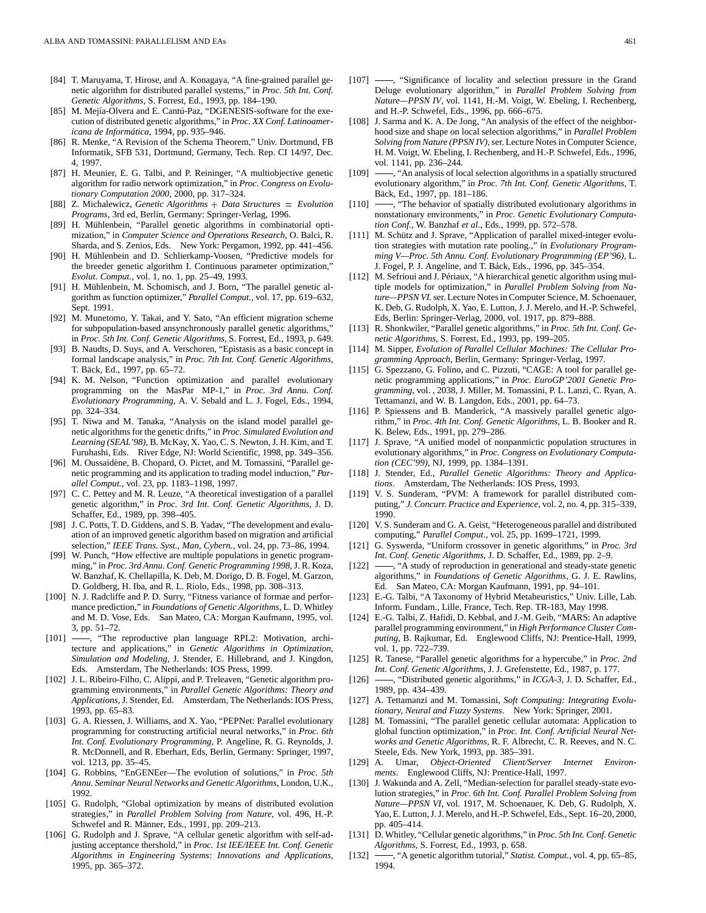- [84] T. Maruyama, T. Hirose, and A. Konagaya, "A fine-grained parallel genetic algorithm for distributed parallel systems," in *Proc. 5th Int. Conf. Genetic Algorithms*, S. Forrest, Ed., 1993, pp. 184–190.
- [85] M. Mejía-Olvera and E. Cantú-Paz, "DGENESIS-software for the execution of distributed genetic algorithms," in *Proc. XX Conf. Latinoamericana de Informática*, 1994, pp. 935–946.
- [86] R. Menke, "A Revision of the Schema Theorem," Univ. Dortmund, FB Informatik, SFB 531, Dortmund, Germany, Tech. Rep. CI 14/97, Dec. 4, 1997.
- [87] H. Meunier, E. G. Talbi, and P. Reininger, "A multiobjective genetic algorithm for radio network optimization," in *Proc. Congress on Evolutionary Computation 2000*, 2000, pp. 317–324.
- [88] Z. Michalewicz, *Genetic Algorithms* + *Data Structures* = *Evolution Programs*, 3rd ed, Berlin, Germany: Springer-Verlag, 1996.
- [89] H. Mühlenbein, "Parallel genetic algorithms in combinatorial optimization," in *Computer Science and Operations Research*, O. Balci, R. Sharda, and S. Zenios, Eds. New York: Pergamon, 1992, pp. 441–456.
- [90] H. Mühlenbein and D. Schlierkamp-Voosen, "Predictive models for the breeder genetic algorithm I. Continuous parameter optimization,' *Evolut. Comput.*, vol. 1, no. 1, pp. 25–49, 1993.
- [91] H. Mühlenbein, M. Schomisch, and J. Born, "The parallel genetic algorithm as function optimizer," *Parallel Comput.*, vol. 17, pp. 619–632, Sept. 1991.
- [92] M. Munetomo, Y. Takai, and Y. Sato, "An efficient migration scheme for subpopulation-based ansynchronously parallel genetic algorithms,' in *Proc. 5th Int. Conf. Genetic Algorithms*, S. Forrest, Ed., 1993, p. 649.
- [93] B. Naudts, D. Suys, and A. Verschoren, "Epistasis as a basic concept in formal landscape analysis," in *Proc. 7th Int. Conf. Genetic Algorithms*, T. Bäck, Ed., 1997, pp. 65–72.
- [94] K. M. Nelson, "Function optimization and parallel evolutionary programming on the MasPar MP-1," in *Proc. 3rd Annu. Conf. Evolutionary Programming*, A. V. Sebald and L. J. Fogel, Eds., 1994, pp. 324–334.
- [95] T. Niwa and M. Tanaka, "Analysis on the island model parallel genetic algorithms for the genetic drifts," in *Proc. Simulated Evolution and Learning (SEAL'98)*, B. McKay, X. Yao, C. S. Newton, J. H. Kim, and T. Furuhashi, Eds. River Edge, NJ: World Scientific, 1998, pp. 349–356.
- [96] M. Oussaidène, B. Chopard, O. Pictet, and M. Tomassini, "Parallel genetic programming and its application to trading model induction," *Parallel Comput.*, vol. 23, pp. 1183–1198, 1997.
- [97] C. C. Pettey and M. R. Leuze, "A theoretical investigation of a parallel genetic algorithm," in *Proc. 3rd Int. Conf. Genetic Algorithms*, J. D. Schaffer, Ed., 1989, pp. 398–405.
- [98] J. C. Potts, T. D. Giddens, and S. B. Yadav, "The development and evaluation of an improved genetic algorithm based on migration and artificial selection," *IEEE Trans. Syst., Man, Cybern.*, vol. 24, pp. 73–86, 1994.
- [99] W. Punch, "How effective are multiple populations in genetic programming," in *Proc. 3rd Annu. Conf. Genetic Programming 1998*, J. R. Koza, W. Banzhaf, K. Chellapilla, K. Deb, M. Dorigo, D. B. Fogel, M. Garzon, D. Goldberg, H. Iba, and R. L. Riolo, Eds., 1998, pp. 308–313.
- [100] N. J. Radcliffe and P. D. Surry, "Fitness variance of formae and performance prediction," in *Foundations of Genetic Algorithms*, L. D. Whitley and M. D. Vose, Eds. San Mateo, CA: Morgan Kaufmann, 1995, vol. 3, pp. 51–72.
- [101] -, "The reproductive plan language RPL2: Motivation, architecture and applications," in *Genetic Algorithms in Optimization, Simulation and Modeling*, J. Stender, E. Hillebrand, and J. Kingdon, Eds. Amsterdam, The Netherlands: IOS Press, 1999.
- [102] J. L. Ribeiro-Filho, C. Alippi, and P. Treleaven, "Genetic algorithm programming environments," in *Parallel Genetic Algorithms: Theory and Applications*, J. Stender, Ed. Amsterdam, The Netherlands: IOS Press, 1993, pp. 65–83.
- [103] G. A. Riessen, J. Williams, and X. Yao, "PEPNet: Parallel evolutionary programming for constructing artificial neural networks," in *Proc. 6th Int. Conf. Evolutionary Programming*, P. Angeline, R. G. Reynolds, J. R. McDonnell, and R. Eberhart, Eds, Berlin, Germany: Springer, 1997, vol. 1213, pp. 35–45.
- [104] G. Robbins, "EnGENEer—The evolution of solutions," in *Proc. 5th Annu. Seminar Neural Networks and Genetic Algorithms*, London, U.K., 1992.
- [105] G. Rudolph, "Global optimization by means of distributed evolution strategies," in *Parallel Problem Solving from Nature*, vol. 496, H.-P. Schwefel and R. Männer, Eds., 1991, pp. 209–213.
- [106] G. Rudolph and J. Sprave, "A cellular genetic algorithm with self-adjusting acceptance thershold," in *Proc. 1st IEE/IEEE Int. Conf. Genetic Algorithms in Engineering Systems: Innovations and Applications*, 1995, pp. 365–372.
- [107] -, "Significance of locality and selection pressure in the Grand Deluge evolutionary algorithm," in *Parallel Problem Solving from Nature—PPSN IV*, vol. 1141, H.-M. Voigt, W. Ebeling, I. Rechenberg, and H.-P. Schwefel, Eds., 1996, pp. 666–675.
- [108] J. Sarma and K. A. De Jong, "An analysis of the effect of the neighborhood size and shape on local selection algorithms," in *Parallel Problem Solving from Nature (PPSN IV)*, ser. Lecture Notes in Computer Science, H. M. Voigt, W. Ebeling, I. Rechenberg, and H.-P. Schwefel, Eds., 1996, vol. 1141, pp. 236–244.<br>[109] —, "An analysis of lo
- $-$ , "An analysis of local selection algorithms in a spatially structured evolutionary algorithm," in *Proc. 7th Int. Conf. Genetic Algorithms*, T. Bäck, Ed., 1997, pp. 181–186.
- [110]  $\longrightarrow$ , "The behavior of spatially distributed evolutionary algorithms in nonstationary environments," in *Proc. Genetic Evolutionary Computation Conf.*, W. Banzhaf *et al.*, Eds., 1999, pp. 572–578.
- [111] M. Schütz and J. Sprave, "Application of parallel mixed-integer evolution strategies with mutation rate pooling.," in *Evolutionary Programming V—Proc. 5th Annu. Conf. Evolutionary Programming (EP'96)*, L. J. Fogel, P. J. Angeline, and T. Báck, Eds., 1996, pp. 345–354.
- [112] M. Sefrioui and J. Périaux, "A hierarchical genetic algorithm using multiple models for optimization," in *Parallel Problem Solving from Nature—PPSN VI*. ser. Lecture Notes in Computer Science, M. Schoenauer, K. Deb, G. Rudolph, X. Yao, E. Lutton, J. J. Merelo, and H.-P. Schwefel, Eds, Berlin: Springer-Verlag, 2000, vol. 1917, pp. 879–888.
- [113] R. Shonkwiler, "Parallel genetic algorithms," in *Proc. 5th Int. Conf. Genetic Algorithms*, S. Forrest, Ed., 1993, pp. 199–205.
- [114] M. Sipper, *Evolution of Parallel Cellular Machines: The Cellular Programming Approach*, Berlin, Germany: Springer-Verlag, 1997.
- [115] G. Spezzano, G. Folino, and C. Pizzuti, "CAGE: A tool for parallel genetic programming applications," in *Proc. EuroGP'2001 Genetic Programming*, vol. , 2038, J. Miller, M. Tomassini, P. L. Lanzi, C. Ryan, A. Tettamanzi, and W. B. Langdon, Eds., 2001, pp. 64–73.
- [116] P. Spiessens and B. Manderick, "A massively parallel genetic algorithm," in *Proc. 4th Int. Conf. Genetic Algorithms*, L. B. Booker and R. K. Belew, Eds., 1991, pp. 279–286.
- [117] J. Sprave, "A unified model of nonpanmictic population structures in evolutionary algorithms," in *Proc. Congress on Evolutionary Computation (CEC'99)*, NJ, 1999, pp. 1384–1391.
- [118] J. Stender, Ed., *Parallel Genetic Algorithms: Theory and Applications*. Amsterdam, The Netherlands: IOS Press, 1993.
- [119] V. S. Sunderam, "PVM: A framework for parallel distributed computing," *J. Concurr. Practice and Experience*, vol. 2, no. 4, pp. 315–339, 1990.
- [120] V. S. Sunderam and G. A. Geist, "Heterogeneous parallel and distributed computing," *Parallel Comput.*, vol. 25, pp. 1699–1721, 1999.
- [121] G. Syswerda, "Uniform crossover in genetic algorithms," in *Proc. 3rd Int. Conf. Genetic Algorithms*, J. D. Schaffer, Ed., 1989, pp. 2–9.
- [122]  $\longrightarrow$ , "A study of reproduction in generational and steady-state genetic algorithms," in *Foundations of Genetic Algorithms*, G. J. E. Rawlins, Ed. San Mateo, CA: Morgan Kaufmann, 1991, pp. 94–101.
- [123] E.-G. Talbi, "A Taxonomy of Hybrid Metaheuristics," Univ. Lille, Lab. Inform. Fundam., Lille, France, Tech. Rep. TR-183, May 1998.
- [124] E.-G. Talbi, Z. Hafidi, D. Kebbal, and J.-M. Geib, "MARS: An adaptive parallel programming environment," in *High Performance Cluster Computing*, B. Rajkumar, Ed. Englewood Cliffs, NJ: Prentice-Hall, 1999, vol. 1, pp. 722–739.
- [125] R. Tanese, "Parallel genetic algorithms for a hypercube," in *Proc. 2nd Int. Conf. Genetic Algorithms*, J. J. Grefenstette, Ed., 1987, p. 177.
- [126] —, "Distributed genetic algorithms," in *ICGA-3*, J. D. Schaffer, Ed., 1989, pp. 434–439.
- [127] A. Tettamanzi and M. Tomassini, *Soft Computing: Integrating Evolutionary, Neural and Fuzzy Systems*. New York: Springer, 2001.
- [128] M. Tomassini, "The parallel genetic cellular automata: Application to global function optimization," in *Proc. Int. Conf. Artificial Neural Networks and Genetic Algorithms*, R. F. Albrecht, C. R. Reeves, and N. C. Steele, Eds. New York, 1993, pp. 385–391.
- [129] A. Umar, *Object-Oriented Client/Server Internet Environments*. Englewood Cliffs, NJ: Prentice-Hall, 1997.
- [130] J. Wakunda and A. Zell, "Median-selection for parallel steady-state evolution strategies," in *Proc. 6th Int. Conf. Parallel Problem Solving from Nature—PPSN VI*, vol. 1917, M. Schoenauer, K. Deb, G. Rudolph, X. Yao, E. Lutton, J. J. Merelo, and H.-P. Schwefel, Eds., Sept. 16–20, 2000, pp. 405–414.
- [131] D. Whitley, "Cellular genetic algorithms," in *Proc. 5th Int. Conf. Genetic Algorithms*, S. Forrest, Ed., 1993, p. 658.
- [132]  $\_\_\_\$ , "A genetic algorithm tutorial," *Statist. Comput.*, vol. 4, pp. 65–85, 1994.